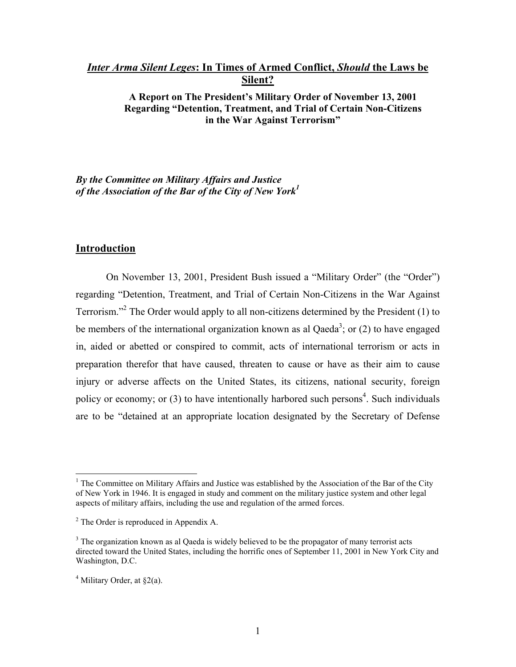# *Inter Arma Silent Leges***: In Times of Armed Conflict,** *Should* **the Laws be Silent?**

**A Report on The President's Military Order of November 13, 2001 Regarding "Detention, Treatment, and Trial of Certain Non-Citizens in the War Against Terrorism"** 

*By the Committee on Military Affairs and Justice of the Association of the Bar of the City of New York[1](#page-0-0)* 

## **Introduction**

On November 13, 2001, President Bush issued a "Military Order" (the "Order") regarding "Detention, Treatment, and Trial of Certain Non-Citizens in the War Against Terrorism."<sup>[2](#page-0-1)</sup> The Order would apply to all non-citizens determined by the President (1) to be members of the international organization known as al Qaeda<sup>[3](#page-0-2)</sup>; or (2) to have engaged in, aided or abetted or conspired to commit, acts of international terrorism or acts in preparation therefor that have caused, threaten to cause or have as their aim to cause injury or adverse affects on the United States, its citizens, national security, foreign policy or economy; or  $(3)$  to have intentionally harbored such persons<sup>[4](#page-0-3)</sup>. Such individuals are to be "detained at an appropriate location designated by the Secretary of Defense

<span id="page-0-0"></span><sup>&</sup>lt;sup>1</sup> The Committee on Military Affairs and Justice was established by the Association of the Bar of the City of New York in 1946. It is engaged in study and comment on the military justice system and other legal aspects of military affairs, including the use and regulation of the armed forces.

<span id="page-0-1"></span><sup>&</sup>lt;sup>2</sup> The Order is reproduced in Appendix A.

<span id="page-0-2"></span> $3$  The organization known as al Qaeda is widely believed to be the propagator of many terrorist acts directed toward the United States, including the horrific ones of September 11, 2001 in New York City and Washington, D.C.

<span id="page-0-3"></span><sup>&</sup>lt;sup>4</sup> Military Order, at  $\S 2(a)$ .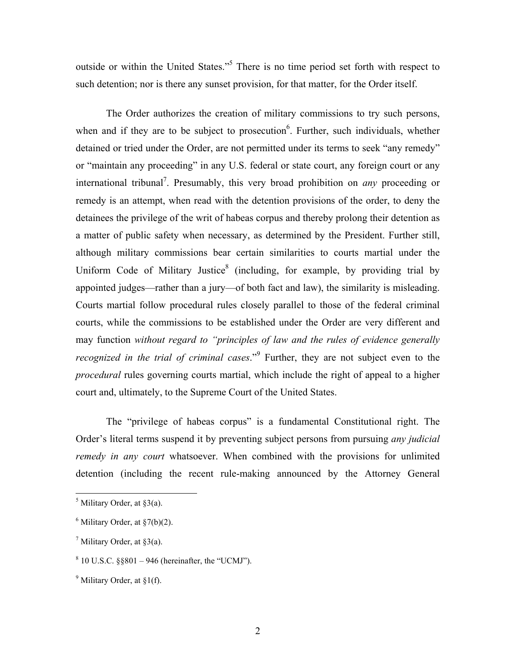outside or within the United States."<sup>[5](#page-1-0)</sup> There is no time period set forth with respect to such detention; nor is there any sunset provision, for that matter, for the Order itself.

The Order authorizes the creation of military commissions to try such persons, when and if they are to be subject to prosecution<sup>6</sup>. Further, such individuals, whether detained or tried under the Order, are not permitted under its terms to seek "any remedy" or "maintain any proceeding" in any U.S. federal or state court, any foreign court or any international tribunal<sup>[7](#page-1-2)</sup>. Presumably, this very broad prohibition on *any* proceeding or remedy is an attempt, when read with the detention provisions of the order, to deny the detainees the privilege of the writ of habeas corpus and thereby prolong their detention as a matter of public safety when necessary, as determined by the President. Further still, although military commissions bear certain similarities to courts martial under the Uniform Code of Military Justice<sup>[8](#page-1-3)</sup> (including, for example, by providing trial by appointed judges—rather than a jury—of both fact and law), the similarity is misleading. Courts martial follow procedural rules closely parallel to those of the federal criminal courts, while the commissions to be established under the Order are very different and may function *without regard to "principles of law and the rules of evidence generally recognized in the trial of criminal cases*."[9](#page-1-4) Further, they are not subject even to the *procedural* rules governing courts martial, which include the right of appeal to a higher court and, ultimately, to the Supreme Court of the United States.

The "privilege of habeas corpus" is a fundamental Constitutional right. The Order's literal terms suspend it by preventing subject persons from pursuing *any judicial remedy in any court* whatsoever. When combined with the provisions for unlimited detention (including the recent rule-making announced by the Attorney General

<span id="page-1-0"></span> $\frac{5 \text{ Military Order, at } }$  \$3(a).

<span id="page-1-1"></span> $6$  Military Order, at  $\S7(b)(2)$ .

<span id="page-1-2"></span><sup>&</sup>lt;sup>7</sup> Military Order, at  $\S3(a)$ .

<span id="page-1-3"></span> $8\,10 \, \text{U.S.C. }$  §§801 – 946 (hereinafter, the "UCMJ").

<span id="page-1-4"></span><sup>&</sup>lt;sup>9</sup> Military Order, at  $\S1(f)$ .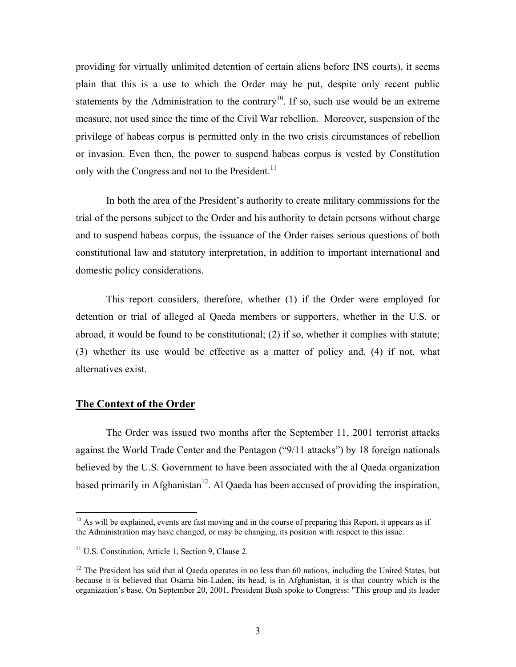<span id="page-2-2"></span>providing for virtually unlimited detention of certain aliens before INS courts), it seems plain that this is a use to which the Order may be put, despite only recent public statements by the Administration to the contrary<sup>10</sup>. If so, such use would be an extreme measure, not used since the time of the Civil War rebellion. Moreover, suspension of the privilege of habeas corpus is permitted only in the two crisis circumstances of rebellion or invasion. Even then, the power to suspend habeas corpus is vested by Constitution only with the Congress and not to the President.<sup>[11](#page-2-1)</sup>

In both the area of the President's authority to create military commissions for the trial of the persons subject to the Order and his authority to detain persons without charge and to suspend habeas corpus, the issuance of the Order raises serious questions of both constitutional law and statutory interpretation, in addition to important international and domestic policy considerations.

This report considers, therefore, whether (1) if the Order were employed for detention or trial of alleged al Qaeda members or supporters, whether in the U.S. or abroad, it would be found to be constitutional; (2) if so, whether it complies with statute; (3) whether its use would be effective as a matter of policy and, (4) if not, what alternatives exist.

### **The Context of the Order**

 $\overline{a}$ 

The Order was issued two months after the September 11, 2001 terrorist attacks against the World Trade Center and the Pentagon ("9/11 attacks") by 18 foreign nationals believed by the U.S. Government to have been associated with the al Qaeda organization based primarily in Afghanistan<sup>12</sup>. Al Qaeda has been accused of providing the inspiration,

<span id="page-2-0"></span><sup>&</sup>lt;sup>10</sup> As will be explained, events are fast moving and in the course of preparing this Report, it appears as if the Administration may have changed, or may be changing, its position with respect to this issue.

<span id="page-2-1"></span><sup>&</sup>lt;sup>11</sup> U.S. Constitution, Article 1, Section 9, Clause 2.

 $12$  The President has said that al Qaeda operates in no less than 60 nations, including the United States, but because it is believed that Osama bin-Laden, its head, is in Afghanistan, it is that country which is the organization's base. On September 20, 2001, President Bush spoke to Congress: "This group and its leader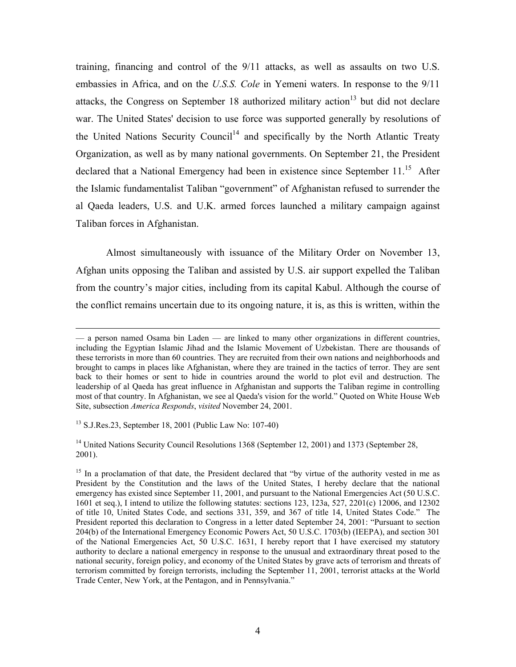training, financing and control of the 9/11 attacks, as well as assaults on two U.S. embassies in Africa, and on the *U.S.S. Cole* in Yemeni waters. In response to the 9/11 attacks, the Congress on September 18 authorized military action<sup>13</sup> but did not declare war. The United States' decision to use force was supported generally by resolutions of the United Nations Security Council<sup>14</sup> and specifically by the North Atlantic Treaty Organization, as well as by many national governments. On September 21, the President declared that a National Emergency had been in existence since September 11.<sup>15</sup> After the Islamic fundamentalist Taliban "government" of Afghanistan refused to surrender the al Qaeda leaders, U.S. and U.K. armed forces launched a military campaign against Taliban forces in Afghanistan.

Almost simultaneously with issuance of the Military Order on November 13, Afghan units opposing the Taliban and assisted by U.S. air support expelled the Taliban from the country's major cities, including from its capital Kabul. Although the course of the conflict remains uncertain due to its ongoing nature, it is, as this is written, within the

<span id="page-3-1"></span><sup>14</sup> United Nations Security Council Resolutions 1368 (September 12, 2001) and 1373 (September 28, 2001).

 <sup>—</sup> a person named Osama bin Laden — are linked to many other organizations in different countries, including the Egyptian Islamic Jihad and the Islamic Movement of Uzbekistan. There are thousands of these terrorists in more than 60 countries. They are recruited from their own nations and neighborhoods and brought to camps in places like Afghanistan, where they are trained in the tactics of terror. They are sent back to their homes or sent to hide in countries around the world to plot evil and destruction. The leadership of al Qaeda has great influence in Afghanistan and supports the Taliban regime in controlling most of that country. In Afghanistan, we see al Qaeda's vision for the world." Quoted on White House Web Site, subsection *America Responds*, *visited* November 24, 2001.

<span id="page-3-0"></span><sup>13</sup> S.J.Res.23, September 18, 2001 (Public Law No: 107-40)

<span id="page-3-2"></span><sup>&</sup>lt;sup>15</sup> In a proclamation of that date, the President declared that "by virtue of the authority vested in me as President by the Constitution and the laws of the United States, I hereby declare that the national emergency has existed since September 11, 2001, and pursuant to the National Emergencies Act (50 U.S.C. 1601 et seq.), I intend to utilize the following statutes: sections 123, 123a, 527, 2201(c) 12006, and 12302 of title 10, United States Code, and sections 331, 359, and 367 of title 14, United States Code." The President reported this declaration to Congress in a letter dated September 24, 2001: "Pursuant to section 204(b) of the International Emergency Economic Powers Act, 50 U.S.C. 1703(b) (IEEPA), and section 301 of the National Emergencies Act, 50 U.S.C. 1631, I hereby report that I have exercised my statutory authority to declare a national emergency in response to the unusual and extraordinary threat posed to the national security, foreign policy, and economy of the United States by grave acts of terrorism and threats of terrorism committed by foreign terrorists, including the September 11, 2001, terrorist attacks at the World Trade Center, New York, at the Pentagon, and in Pennsylvania."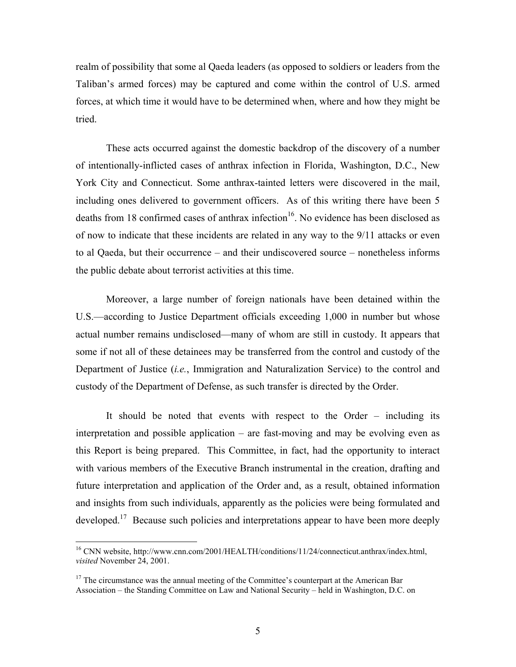<span id="page-4-1"></span>realm of possibility that some al Qaeda leaders (as opposed to soldiers or leaders from the Taliban's armed forces) may be captured and come within the control of U.S. armed forces, at which time it would have to be determined when, where and how they might be tried.

These acts occurred against the domestic backdrop of the discovery of a number of intentionally-inflicted cases of anthrax infection in Florida, Washington, D.C., New York City and Connecticut. Some anthrax-tainted letters were discovered in the mail, including ones delivered to government officers. As of this writing there have been 5 deaths from 18 confirmed cases of anthrax infection<sup>16</sup>. No evidence has been disclosed as of now to indicate that these incidents are related in any way to the 9/11 attacks or even to al Qaeda, but their occurrence – and their undiscovered source – nonetheless informs the public debate about terrorist activities at this time.

Moreover, a large number of foreign nationals have been detained within the U.S.—according to Justice Department officials exceeding 1,000 in number but whose actual number remains undisclosed—many of whom are still in custody. It appears that some if not all of these detainees may be transferred from the control and custody of the Department of Justice (*i.e.*, Immigration and Naturalization Service) to the control and custody of the Department of Defense, as such transfer is directed by the Order.

It should be noted that events with respect to the Order – including its interpretation and possible application – are fast-moving and may be evolving even as this Report is being prepared. This Committee, in fact, had the opportunity to interact with various members of the Executive Branch instrumental in the creation, drafting and future interpretation and application of the Order and, as a result, obtained information and insights from such individuals, apparently as the policies were being formulated and developed.<sup>17</sup> Because such policies and interpretations appear to have been more deeply

<span id="page-4-0"></span><sup>&</sup>lt;sup>16</sup> CNN website, http://www.cnn.com/2001/HEALTH/conditions/11/24/connecticut.anthrax/index.html, *visited* November 24, 2001.

<sup>&</sup>lt;sup>17</sup> The circumstance was the annual meeting of the Committee's counterpart at the American Bar Association – the Standing Committee on Law and National Security – held in Washington, D.C. on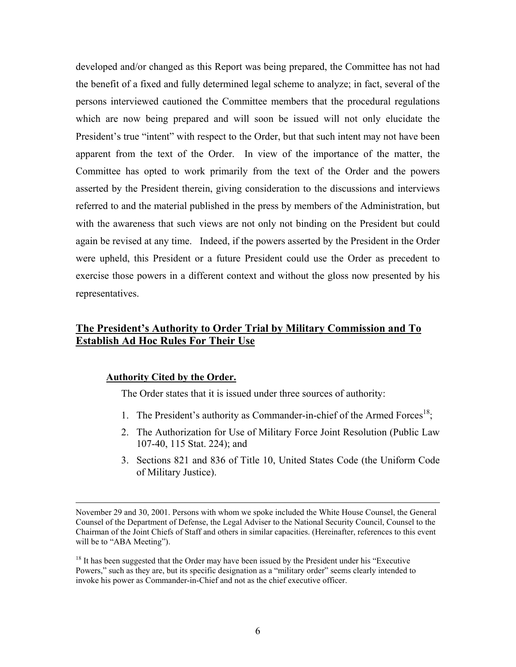developed and/or changed as this Report was being prepared, the Committee has not had the benefit of a fixed and fully determined legal scheme to analyze; in fact, several of the persons interviewed cautioned the Committee members that the procedural regulations which are now being prepared and will soon be issued will not only elucidate the President's true "intent" with respect to the Order, but that such intent may not have been apparent from the text of the Order. In view of the importance of the matter, the Committee has opted to work primarily from the text of the Order and the powers asserted by the President therein, giving consideration to the discussions and interviews referred to and the material published in the press by members of the Administration, but with the awareness that such views are not only not binding on the President but could again be revised at any time. Indeed, if the powers asserted by the President in the Order were upheld, this President or a future President could use the Order as precedent to exercise those powers in a different context and without the gloss now presented by his representatives.

# **The President's Authority to Order Trial by Military Commission and To Establish Ad Hoc Rules For Their Use**

### **Authority Cited by the Order.**

The Order states that it is issued under three sources of authority:

- 1. The President's authority as Commander-in-chief of the Armed Forces<sup>18</sup>;
- 2. The Authorization for Use of Military Force Joint Resolution (Public Law 107-40, 115 Stat. 224); and
- 3. Sections 821 and 836 of Title 10, United States Code (the Uniform Code of Military Justice).

November 29 and 30, 2001. Persons with whom we spoke included the White House Counsel, the General Counsel of the Department of Defense, the Legal Adviser to the National Security Council, Counsel to the Chairman of the Joint Chiefs of Staff and others in similar capacities. (Hereinafter, references to this event will be to "ABA Meeting").

<span id="page-5-0"></span><sup>&</sup>lt;sup>18</sup> It has been suggested that the Order may have been issued by the President under his "Executive" Powers," such as they are, but its specific designation as a "military order" seems clearly intended to invoke his power as Commander-in-Chief and not as the chief executive officer.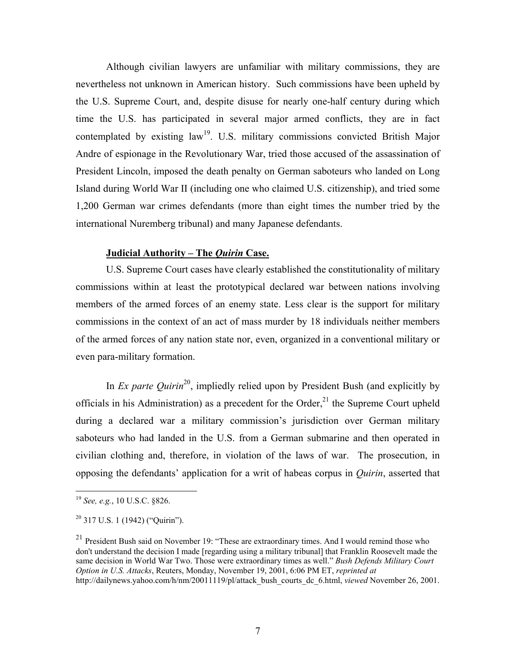Although civilian lawyers are unfamiliar with military commissions, they are nevertheless not unknown in American history. Such commissions have been upheld by the U.S. Supreme Court, and, despite disuse for nearly one-half century during which time the U.S. has participated in several major armed conflicts, they are in fact contemplated by existing law<sup>19</sup>. U.S. military commissions convicted British Major Andre of espionage in the Revolutionary War, tried those accused of the assassination of President Lincoln, imposed the death penalty on German saboteurs who landed on Long Island during World War II (including one who claimed U.S. citizenship), and tried some 1,200 German war crimes defendants (more than eight times the number tried by the international Nuremberg tribunal) and many Japanese defendants.

## **Judicial Authority – The** *Quirin* **Case.**

U.S. Supreme Court cases have clearly established the constitutionality of military commissions within at least the prototypical declared war between nations involving members of the armed forces of an enemy state. Less clear is the support for military commissions in the context of an act of mass murder by 18 individuals neither members of the armed forces of any nation state nor, even, organized in a conventional military or even para-military formation.

In *Ex parte Quirin*<sup>20</sup>, impliedly relied upon by President Bush (and explicitly by officials in his Administration) as a precedent for the Order,<sup>21</sup> the Supreme Court upheld during a declared war a military commission's jurisdiction over German military saboteurs who had landed in the U.S. from a German submarine and then operated in civilian clothing and, therefore, in violation of the laws of war. The prosecution, in opposing the defendants' application for a writ of habeas corpus in *Quirin*, asserted that

<span id="page-6-0"></span><sup>19</sup> *See, e.g.*, 10 U.S.C. §826.

<span id="page-6-1"></span> $20$  317 U.S. 1 (1942) ("Ouirin").

<span id="page-6-2"></span><sup>&</sup>lt;sup>21</sup> President Bush said on November 19: "These are extraordinary times. And I would remind those who don't understand the decision I made [regarding using a military tribunal] that Franklin Roosevelt made the same decision in World War Two. Those were extraordinary times as well." *Bush Defends Military Court Option in U.S. Attacks*, Reuters, Monday, November 19, 2001, 6:06 PM ET, *reprinted at* http://dailynews.yahoo.com/h/nm/20011119/pl/attack\_bush\_courts\_dc\_6.html, *viewed* November 26, 2001.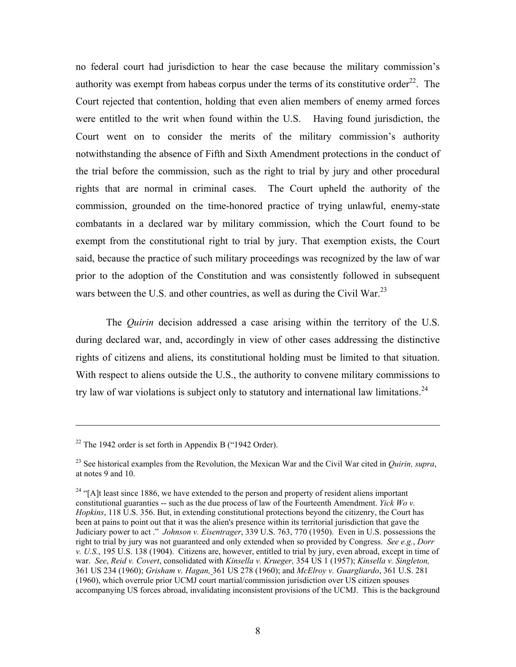<span id="page-7-2"></span>no federal court had jurisdiction to hear the case because the military commission's authority was exempt from habeas corpus under the terms of its constitutive order<sup>22</sup>. The Court rejected that contention, holding that even alien members of enemy armed forces were entitled to the writ when found within the U.S. Having found jurisdiction, the Court went on to consider the merits of the military commission's authority notwithstanding the absence of Fifth and Sixth Amendment protections in the conduct of the trial before the commission, such as the right to trial by jury and other procedural rights that are normal in criminal cases. The Court upheld the authority of the commission, grounded on the time-honored practice of trying unlawful, enemy-state combatants in a declared war by military commission, which the Court found to be exempt from the constitutional right to trial by jury. That exemption exists, the Court said, because the practice of such military proceedings was recognized by the law of war prior to the adoption of the Constitution and was consistently followed in subsequent wars between the U.S. and other countries, as well as during the Civil War.<sup>23</sup>

The *Quirin* decision addressed a case arising within the territory of the U.S. during declared war, and, accordingly in view of other cases addressing the distinctive rights of citizens and aliens, its constitutional holding must be limited to that situation. With respect to aliens outside the U.S., the authority to convene military commissions to try law of war violations is subject only to statutory and international law limitations.<sup>24</sup>

<span id="page-7-0"></span> $22$  The 1942 order is set forth in Appendix B ("1942 Order).

<span id="page-7-1"></span><sup>23</sup> See historical examples from the Revolution, the Mexican War and the Civil War cited in *Quirin, supra*, at notes 9 and 10.

<sup>&</sup>lt;sup>24</sup> "[A]t least since 1886, we have extended to the person and property of resident aliens important constitutional guaranties -- such as the due process of law of the Fourteenth Amendment. *Yick Wo v. Hopkins*, 118 U.S. 356. But, in extending constitutional protections beyond the citizenry, the Court has been at pains to point out that it was the alien's presence within its territorial jurisdiction that gave the Judiciary power to act ." *Johnson v. Eisentrager*, 339 U.S. 763, 770 (1950). Even in U.S. possessions the right to trial by jury was not guaranteed and only extended when so provided by Congress. *See e.g.*, *Dorr v. U.S.*, 195 U.S. 138 (1904). Citizens are, however, entitled to trial by jury, even abroad, except in time of war. *See*, *Reid v. Covert*, consolidated with *Kinsella v. Krueger,* 354 US 1 (1957); *Kinsella v. Singleton,* 361 US 234 (1960); *Grisham v. Hagan,* 361 US 278 (1960); and *McElroy v. Guargliardo*, 361 U.S. 281 (1960), which overrule prior UCMJ court martial/commission jurisdiction over US citizen spouses accompanying US forces abroad, invalidating inconsistent provisions of the UCMJ. This is the background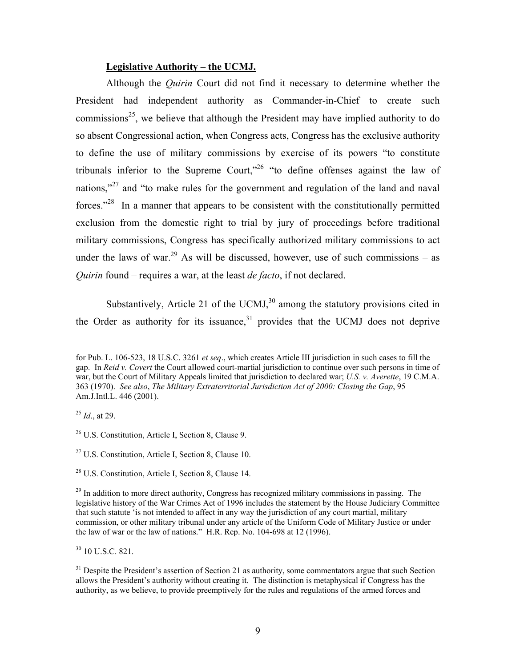### **Legislative Authority – the UCMJ.**

<span id="page-8-6"></span>Although the *Quirin* Court did not find it necessary to determine whether the President had independent authority as Commander-in-Chief to create such commissions<sup>25</sup>, we believe that although the President may have implied authority to do so absent Congressional action, when Congress acts, Congress has the exclusive authority to define the use of military commissions by exercise of its powers "to constitute tribunals inferior to the Supreme Court,"[26](#page-8-1) "to define offenses against the law of nations,"<sup>27</sup> and "to make rules for the government and regulation of the land and naval forces."<sup>28</sup> In a manner that appears to be consistent with the constitutionally permitted exclusion from the domestic right to trial by jury of proceedings before traditional military commissions, Congress has specifically authorized military commissions to act under the laws of war.<sup>29</sup> As will be discussed, however, use of such commissions – as *Quirin* found – requires a war, at the least *de facto*, if not declared.

Substantively, Article 21 of the UCMJ, $30$  among the statutory provisions cited in the Order as authority for its issuance, $31$  provides that the UCMJ does not deprive

<span id="page-8-0"></span><sup>25</sup> *Id*., at 29.

<span id="page-8-1"></span>26 U.S. Constitution, Article I, Section 8, Clause 9.

<span id="page-8-2"></span>27 U.S. Constitution, Article I, Section 8, Clause 10.

<span id="page-8-3"></span>28 U.S. Constitution, Article I, Section 8, Clause 14.

<span id="page-8-4"></span> $^{29}$  In addition to more direct authority, Congress has recognized military commissions in passing. The legislative history of the War Crimes Act of 1996 includes the statement by the House Judiciary Committee that such statute 'is not intended to affect in any way the jurisdiction of any court martial, military commission, or other military tribunal under any article of the Uniform Code of Military Justice or under the law of war or the law of nations." H.R. Rep. No. 104-698 at 12 (1996).

<span id="page-8-5"></span> $30$  10 U.S.C. 821.

for Pub. L. 106-523, 18 U.S.C. 3261 *et seq*., which creates Article III jurisdiction in such cases to fill the gap. In *Reid v. Covert* the Court allowed court-martial jurisdiction to continue over such persons in time of war, but the Court of Military Appeals limited that jurisdiction to declared war; *U.S. v. Averette*, 19 C.M.A. 363 (1970). *See also*, *The Military Extraterritorial Jurisdiction Act of 2000: Closing the Gap*, 95 Am.J.Intl.L. 446 (2001).

<sup>&</sup>lt;sup>31</sup> Despite the President's assertion of Section 21 as authority, some commentators argue that such Section allows the President's authority without creating it. The distinction is metaphysical if Congress has the authority, as we believe, to provide preemptively for the rules and regulations of the armed forces and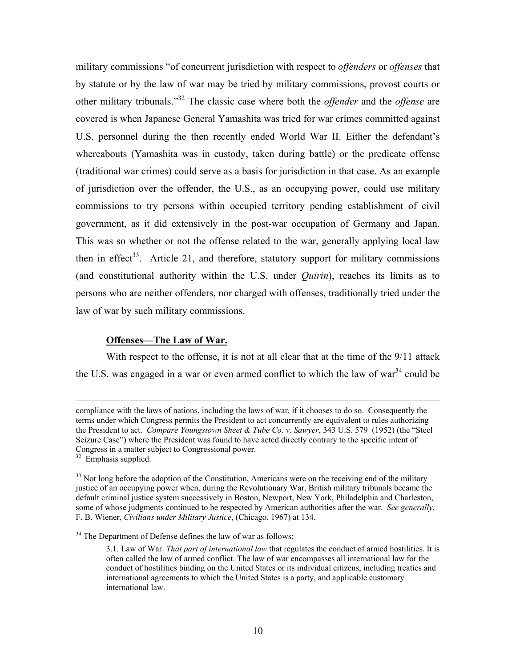<span id="page-9-2"></span>military commissions "of concurrent jurisdiction with respect to *offenders* or *offenses* that by statute or by the law of war may be tried by military commissions, provost courts or other military tribunals."[32](#page-9-0) The classic case where both the *offender* and the *offense* are covered is when Japanese General Yamashita was tried for war crimes committed against U.S. personnel during the then recently ended World War II. Either the defendant's whereabouts (Yamashita was in custody, taken during battle) or the predicate offense (traditional war crimes) could serve as a basis for jurisdiction in that case. As an example of jurisdiction over the offender, the U.S., as an occupying power, could use military commissions to try persons within occupied territory pending establishment of civil government, as it did extensively in the post-war occupation of Germany and Japan. This was so whether or not the offense related to the war, generally applying local law then in effect<sup>33</sup>. Article 21, and therefore, statutory support for military commissions (and constitutional authority within the U.S. under *Quirin*), reaches its limits as to persons who are neither offenders, nor charged with offenses, traditionally tried under the law of war by such military commissions.

### **Offenses—The Law of War.**

With respect to the offense, it is not at all clear that at the time of the 9/11 attack the U.S. was engaged in a war or even armed conflict to which the law of war<sup>34</sup> could be

<span id="page-9-0"></span>

 $34$  The Department of Defense defines the law of war as follows:

compliance with the laws of nations, including the laws of war, if it chooses to do so. Consequently the terms under which Congress permits the President to act concurrently are equivalent to rules authorizing the President to act. *Compare Youngstown Sheet & Tube Co. v. Sawyer*, 343 U.S. 579 (1952) (the "Steel Seizure Case") where the President was found to have acted directly contrary to the specific intent of Congress in a matter subject to Congressional power. 32 Emphasis supplied.

<span id="page-9-1"></span> $33$  Not long before the adoption of the Constitution. Americans were on the receiving end of the military justice of an occupying power when, during the Revolutionary War, British military tribunals became the default criminal justice system successively in Boston, Newport, New York, Philadelphia and Charleston, some of whose judgments continued to be respected by American authorities after the war. *See generally*, F. B. Wiener, *Civilians under Military Justice*, (Chicago, 1967) at 134.

<sup>3.1.</sup> Law of War. *That part of international law* that regulates the conduct of armed hostilities. It is often called the law of armed conflict. The law of war encompasses all international law for the conduct of hostilities binding on the United States or its individual citizens, including treaties and international agreements to which the United States is a party, and applicable customary international law.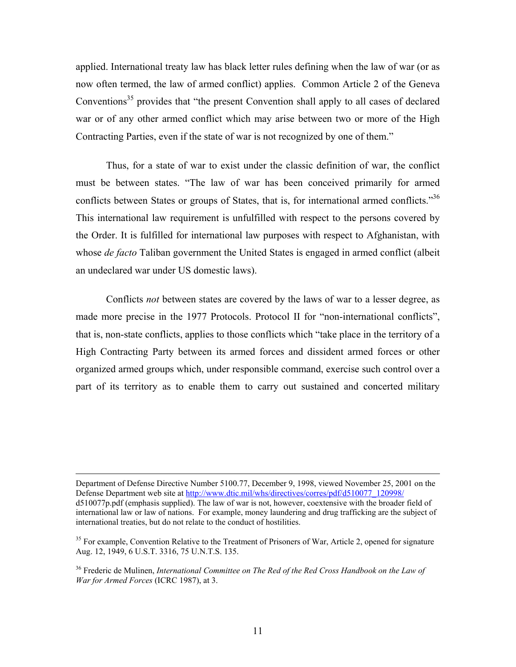applied. International treaty law has black letter rules defining when the law of war (or as now often termed, the law of armed conflict) applies. Common Article 2 of the Geneva Conventions $35$  provides that "the present Convention shall apply to all cases of declared war or of any other armed conflict which may arise between two or more of the High Contracting Parties, even if the state of war is not recognized by one of them."

Thus, for a state of war to exist under the classic definition of war, the conflict must be between states. "The law of war has been conceived primarily for armed conflicts between States or groups of States, that is, for international armed conflicts."<sup>[36](#page-10-1)</sup> This international law requirement is unfulfilled with respect to the persons covered by the Order. It is fulfilled for international law purposes with respect to Afghanistan, with whose *de facto* Taliban government the United States is engaged in armed conflict (albeit an undeclared war under US domestic laws).

Conflicts *not* between states are covered by the laws of war to a lesser degree, as made more precise in the 1977 Protocols. Protocol II for "non-international conflicts", that is, non-state conflicts, applies to those conflicts which "take place in the territory of a High Contracting Party between its armed forces and dissident armed forces or other organized armed groups which, under responsible command, exercise such control over a part of its territory as to enable them to carry out sustained and concerted military

Department of Defense Directive Number 5100.77, December 9, 1998, viewed November 25, 2001 on the Defense Department web site at [http://www.dtic.mil/whs/directives/corres/pdf/d510077\\_120998/](http://www.dtic.mil/whs/directives/corres/pdf/d510077_120998/) d510077p.pdf (emphasis supplied). The law of war is not, however, coextensive with the broader field of international law or law of nations. For example, money laundering and drug trafficking are the subject of international treaties, but do not relate to the conduct of hostilities.

<span id="page-10-0"></span> $35$  For example, Convention Relative to the Treatment of Prisoners of War, Article 2, opened for signature Aug. 12, 1949, 6 U.S.T. 3316, 75 U.N.T.S. 135.

<span id="page-10-1"></span><sup>36</sup> Frederic de Mulinen, *International Committee on The Red of the Red Cross Handbook on the Law of War for Armed Forces* (ICRC 1987), at 3.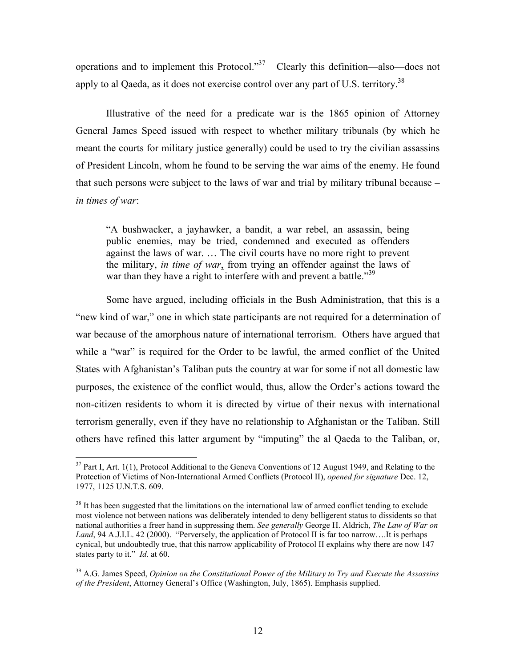operations and to implement this Protocol.["37](#page-11-0) Clearly this definition—also—does not apply to al Qaeda, as it does not exercise control over any part of U.S. territory.<sup>38</sup>

Illustrative of the need for a predicate war is the 1865 opinion of Attorney General James Speed issued with respect to whether military tribunals (by which he meant the courts for military justice generally) could be used to try the civilian assassins of President Lincoln, whom he found to be serving the war aims of the enemy. He found that such persons were subject to the laws of war and trial by military tribunal because – *in times of war*:

"A bushwacker, a jayhawker, a bandit, a war rebel, an assassin, being public enemies, may be tried, condemned and executed as offenders against the laws of war. … The civil courts have no more right to prevent the military, *in time of war*, from trying an offender against the laws of war than they have a right to interfere with and prevent a battle."<sup>[39](#page-11-2)</sup>

Some have argued, including officials in the Bush Administration, that this is a "new kind of war," one in which state participants are not required for a determination of war because of the amorphous nature of international terrorism. Others have argued that while a "war" is required for the Order to be lawful, the armed conflict of the United States with Afghanistan's Taliban puts the country at war for some if not all domestic law purposes, the existence of the conflict would, thus, allow the Order's actions toward the non-citizen residents to whom it is directed by virtue of their nexus with international terrorism generally, even if they have no relationship to Afghanistan or the Taliban. Still others have refined this latter argument by "imputing" the al Qaeda to the Taliban, or,

<span id="page-11-0"></span> $37$  Part I, Art. 1(1), Protocol Additional to the Geneva Conventions of 12 August 1949, and Relating to the Protection of Victims of Non-International Armed Conflicts (Protocol II), *opened for signature* Dec. 12, 1977, 1125 U.N.T.S. 609.

<span id="page-11-1"></span><sup>&</sup>lt;sup>38</sup> It has been suggested that the limitations on the international law of armed conflict tending to exclude most violence not between nations was deliberately intended to deny belligerent status to dissidents so that national authorities a freer hand in suppressing them. *See generally* George H. Aldrich, *The Law of War on*  Land, 94 A.J.I.L. 42 (2000). "Perversely, the application of Protocol II is far too narrow....It is perhaps cynical, but undoubtedly true, that this narrow applicability of Protocol II explains why there are now 147 states party to it." *Id.* at 60.

<span id="page-11-2"></span><sup>39</sup> A.G. James Speed, *Opinion on the Constitutional Power of the Military to Try and Execute the Assassins of the President*, Attorney General's Office (Washington, July, 1865). Emphasis supplied.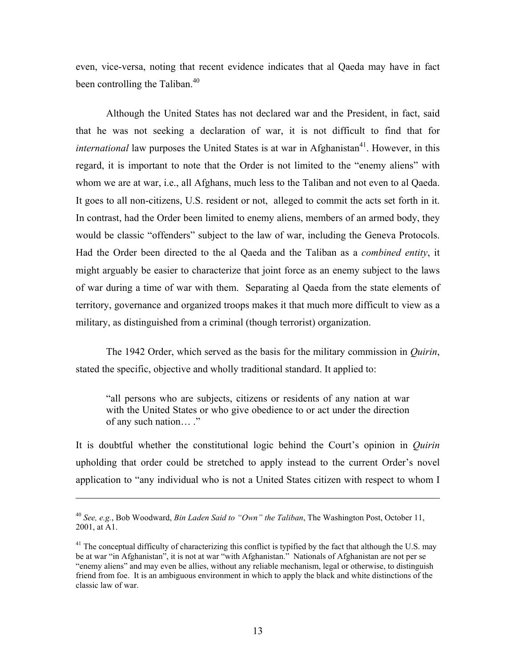even, vice-versa, noting that recent evidence indicates that al Qaeda may have in fact been controlling the Taliban.<sup>[40](#page-12-0)</sup>

Although the United States has not declared war and the President, in fact, said that he was not seeking a declaration of war, it is not difficult to find that for *international* law purposes the United States is at war in Afghanistan<sup>41</sup>. However, in this regard, it is important to note that the Order is not limited to the "enemy aliens" with whom we are at war, i.e., all Afghans, much less to the Taliban and not even to al Qaeda. It goes to all non-citizens, U.S. resident or not, alleged to commit the acts set forth in it. In contrast, had the Order been limited to enemy aliens, members of an armed body, they would be classic "offenders" subject to the law of war, including the Geneva Protocols. Had the Order been directed to the al Qaeda and the Taliban as a *combined entity*, it might arguably be easier to characterize that joint force as an enemy subject to the laws of war during a time of war with them. Separating al Qaeda from the state elements of territory, governance and organized troops makes it that much more difficult to view as a military, as distinguished from a criminal (though terrorist) organization.

The 1942 Order, which served as the basis for the military commission in *Quirin*, stated the specific, objective and wholly traditional standard. It applied to:

"all persons who are subjects, citizens or residents of any nation at war with the United States or who give obedience to or act under the direction of any such nation… ."

It is doubtful whether the constitutional logic behind the Court's opinion in *Quirin* upholding that order could be stretched to apply instead to the current Order's novel application to "any individual who is not a United States citizen with respect to whom I

<span id="page-12-0"></span><sup>40</sup> *See, e.g.*, Bob Woodward, *Bin Laden Said to "Own" the Taliban*, The Washington Post, October 11, 2001, at A1.

<span id="page-12-1"></span> $41$  The conceptual difficulty of characterizing this conflict is typified by the fact that although the U.S. may be at war "in Afghanistan", it is not at war "with Afghanistan." Nationals of Afghanistan are not per se "enemy aliens" and may even be allies, without any reliable mechanism, legal or otherwise, to distinguish friend from foe. It is an ambiguous environment in which to apply the black and white distinctions of the classic law of war.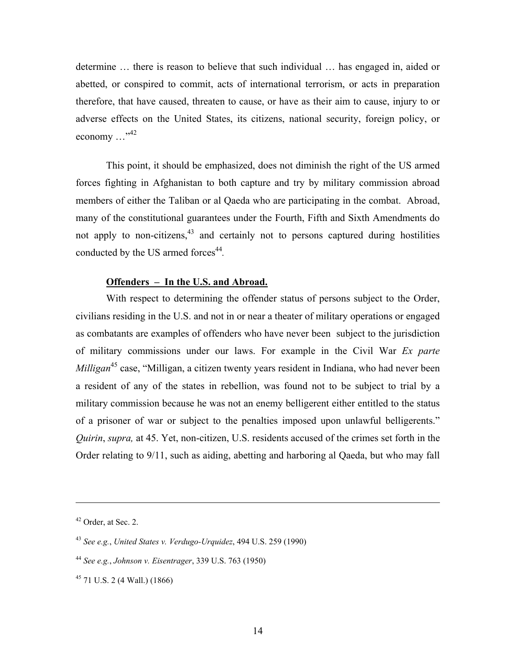determine … there is reason to believe that such individual … has engaged in, aided or abetted, or conspired to commit, acts of international terrorism, or acts in preparation therefore, that have caused, threaten to cause, or have as their aim to cause, injury to or adverse effects on the United States, its citizens, national security, foreign policy, or economy ..."<sup>[42](#page-13-0)</sup>

This point, it should be emphasized, does not diminish the right of the US armed forces fighting in Afghanistan to both capture and try by military commission abroad members of either the Taliban or al Qaeda who are participating in the combat. Abroad, many of the constitutional guarantees under the Fourth, Fifth and Sixth Amendments do not apply to non-citizens,  $43$  and certainly not to persons captured during hostilities conducted by the US armed forces<sup>[44](#page-13-2)</sup>.

### **Offenders – In the U.S. and Abroad.**

With respect to determining the offender status of persons subject to the Order, civilians residing in the U.S. and not in or near a theater of military operations or engaged as combatants are examples of offenders who have never been subject to the jurisdiction of military commissions under our laws. For example in the Civil War *Ex parte Milligan*[45](#page-13-3) case, "Milligan, a citizen twenty years resident in Indiana, who had never been a resident of any of the states in rebellion, was found not to be subject to trial by a military commission because he was not an enemy belligerent either entitled to the status of a prisoner of war or subject to the penalties imposed upon unlawful belligerents." *Quirin*, *supra,* at 45. Yet, non-citizen, U.S. residents accused of the crimes set forth in the Order relating to 9/11, such as aiding, abetting and harboring al Qaeda, but who may fall

<span id="page-13-0"></span> $42$  Order, at Sec. 2.

<span id="page-13-1"></span><sup>43</sup> *See e.g.*, *United States v. Verdugo-Urquidez*, 494 U.S. 259 (1990)

<span id="page-13-2"></span><sup>44</sup> *See e.g.*, *Johnson v. Eisentrager*, 339 U.S. 763 (1950)

<span id="page-13-3"></span><sup>45 71</sup> U.S. 2 (4 Wall.) (1866)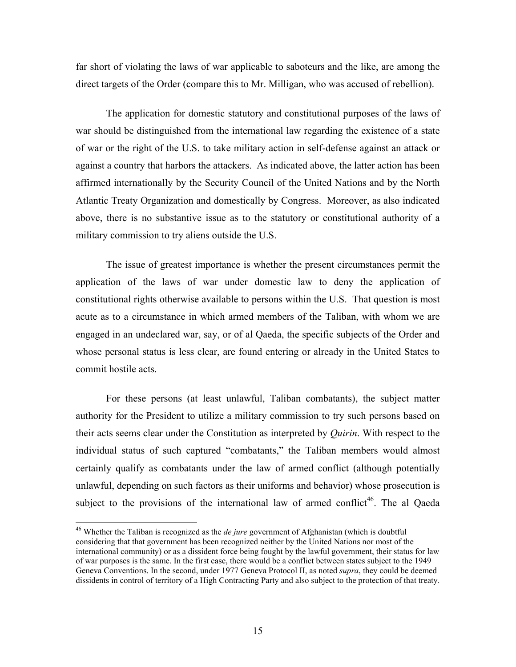far short of violating the laws of war applicable to saboteurs and the like, are among the direct targets of the Order (compare this to Mr. Milligan, who was accused of rebellion).

The application for domestic statutory and constitutional purposes of the laws of war should be distinguished from the international law regarding the existence of a state of war or the right of the U.S. to take military action in self-defense against an attack or against a country that harbors the attackers. As indicated above, the latter action has been affirmed internationally by the Security Council of the United Nations and by the North Atlantic Treaty Organization and domestically by Congress. Moreover, as also indicated above, there is no substantive issue as to the statutory or constitutional authority of a military commission to try aliens outside the U.S.

The issue of greatest importance is whether the present circumstances permit the application of the laws of war under domestic law to deny the application of constitutional rights otherwise available to persons within the U.S. That question is most acute as to a circumstance in which armed members of the Taliban, with whom we are engaged in an undeclared war, say, or of al Qaeda, the specific subjects of the Order and whose personal status is less clear, are found entering or already in the United States to commit hostile acts.

For these persons (at least unlawful, Taliban combatants), the subject matter authority for the President to utilize a military commission to try such persons based on their acts seems clear under the Constitution as interpreted by *Quirin*. With respect to the individual status of such captured "combatants," the Taliban members would almost certainly qualify as combatants under the law of armed conflict (although potentially unlawful, depending on such factors as their uniforms and behavior) whose prosecution is subject to the provisions of the international law of armed conflict<sup>46</sup>. The al Qaeda

1

<span id="page-14-0"></span><sup>46</sup> Whether the Taliban is recognized as the *de jure* government of Afghanistan (which is doubtful considering that that government has been recognized neither by the United Nations nor most of the international community) or as a dissident force being fought by the lawful government, their status for law of war purposes is the same. In the first case, there would be a conflict between states subject to the 1949 Geneva Conventions. In the second, under 1977 Geneva Protocol II, as noted *supra*, they could be deemed dissidents in control of territory of a High Contracting Party and also subject to the protection of that treaty.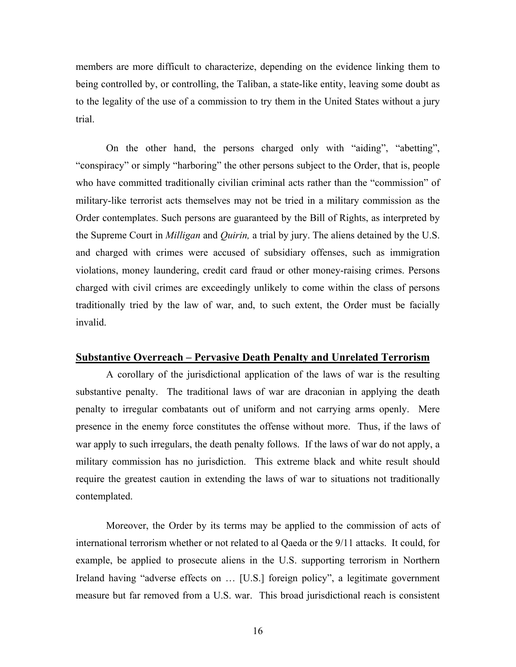members are more difficult to characterize, depending on the evidence linking them to being controlled by, or controlling, the Taliban, a state-like entity, leaving some doubt as to the legality of the use of a commission to try them in the United States without a jury trial.

On the other hand, the persons charged only with "aiding", "abetting", "conspiracy" or simply "harboring" the other persons subject to the Order, that is, people who have committed traditionally civilian criminal acts rather than the "commission" of military-like terrorist acts themselves may not be tried in a military commission as the Order contemplates. Such persons are guaranteed by the Bill of Rights, as interpreted by the Supreme Court in *Milligan* and *Quirin,* a trial by jury. The aliens detained by the U.S. and charged with crimes were accused of subsidiary offenses, such as immigration violations, money laundering, credit card fraud or other money-raising crimes. Persons charged with civil crimes are exceedingly unlikely to come within the class of persons traditionally tried by the law of war, and, to such extent, the Order must be facially invalid.

## **Substantive Overreach – Pervasive Death Penalty and Unrelated Terrorism**

A corollary of the jurisdictional application of the laws of war is the resulting substantive penalty. The traditional laws of war are draconian in applying the death penalty to irregular combatants out of uniform and not carrying arms openly. Mere presence in the enemy force constitutes the offense without more. Thus, if the laws of war apply to such irregulars, the death penalty follows. If the laws of war do not apply, a military commission has no jurisdiction. This extreme black and white result should require the greatest caution in extending the laws of war to situations not traditionally contemplated.

Moreover, the Order by its terms may be applied to the commission of acts of international terrorism whether or not related to al Qaeda or the 9/11 attacks. It could, for example, be applied to prosecute aliens in the U.S. supporting terrorism in Northern Ireland having "adverse effects on … [U.S.] foreign policy", a legitimate government measure but far removed from a U.S. war. This broad jurisdictional reach is consistent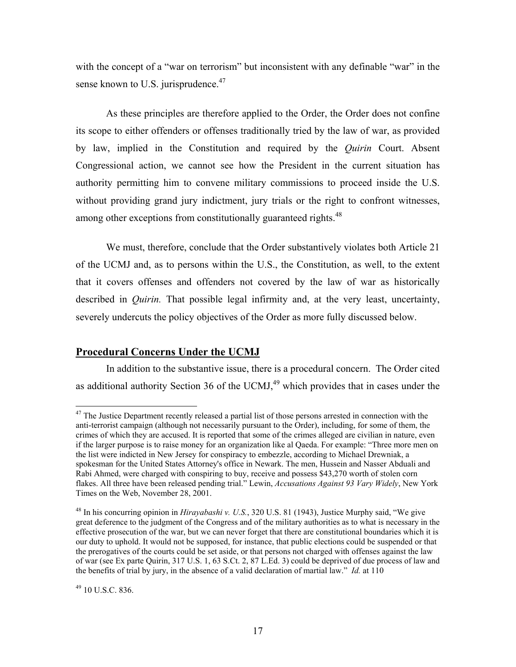with the concept of a "war on terrorism" but inconsistent with any definable "war" in the sense known to U.S. jurisprudence. $47$ 

As these principles are therefore applied to the Order, the Order does not confine its scope to either offenders or offenses traditionally tried by the law of war, as provided by law, implied in the Constitution and required by the *Quirin* Court. Absent Congressional action, we cannot see how the President in the current situation has authority permitting him to convene military commissions to proceed inside the U.S. without providing grand jury indictment, jury trials or the right to confront witnesses, among other exceptions from constitutionally guaranteed rights.<sup>48</sup>

We must, therefore, conclude that the Order substantively violates both Article 21 of the UCMJ and, as to persons within the U.S., the Constitution, as well, to the extent that it covers offenses and offenders not covered by the law of war as historically described in *Quirin.* That possible legal infirmity and, at the very least, uncertainty, severely undercuts the policy objectives of the Order as more fully discussed below.

## **Procedural Concerns Under the UCMJ**

In addition to the substantive issue, there is a procedural concern. The Order cited as additional authority Section 36 of the UCMJ $,49$  which provides that in cases under the

<span id="page-16-0"></span><sup>&</sup>lt;sup>47</sup> The Justice Department recently released a partial list of those persons arrested in connection with the anti-terrorist campaign (although not necessarily pursuant to the Order), including, for some of them, the crimes of which they are accused. It is reported that some of the crimes alleged are civilian in nature, even if the larger purpose is to raise money for an organization like al Qaeda. For example: "Three more men on the list were indicted in New Jersey for conspiracy to embezzle, according to Michael Drewniak, a spokesman for the United States Attorney's office in Newark. The men, Hussein and Nasser Abduali and Rabi Ahmed, were charged with conspiring to buy, receive and possess \$43,270 worth of stolen corn flakes. All three have been released pending trial." Lewin, *Accusations Against 93 Vary Widely*, New York Times on the Web, November 28, 2001.

<span id="page-16-1"></span><sup>48</sup> In his concurring opinion in *Hirayabashi v. U.S.*, 320 U.S. 81 (1943), Justice Murphy said, "We give great deference to the judgment of the Congress and of the military authorities as to what is necessary in the effective prosecution of the war, but we can never forget that there are constitutional boundaries which it is our duty to uphold. It would not be supposed, for instance, that public elections could be suspended or that the prerogatives of the courts could be set aside, or that persons not charged with offenses against the law of war (see Ex parte Quirin, 317 U.S. 1, 63 S.Ct. 2, 87 L.Ed. 3) could be deprived of due process of law and the benefits of trial by jury, in the absence of a valid declaration of martial law." *Id.* at 110

<span id="page-16-2"></span> $49$  10 U.S.C. 836.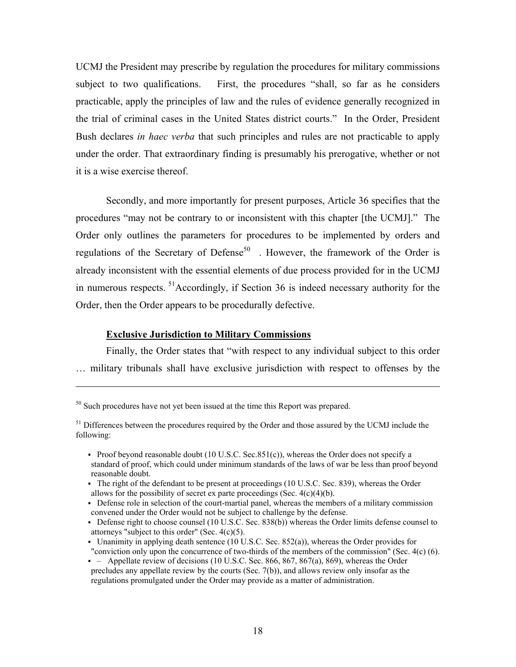UCMJ the President may prescribe by regulation the procedures for military commissions subject to two qualifications. First, the procedures "shall, so far as he considers practicable, apply the principles of law and the rules of evidence generally recognized in the trial of criminal cases in the United States district courts." In the Order, President Bush declares *in haec verba* that such principles and rules are not practicable to apply under the order. That extraordinary finding is presumably his prerogative, whether or not it is a wise exercise thereof.

Secondly, and more importantly for present purposes, Article 36 specifies that the procedures "may not be contrary to or inconsistent with this chapter [the UCMJ]." The Order only outlines the parameters for procedures to be implemented by orders and regulations of the Secretary of Defense $50$ . However, the framework of the Order is already inconsistent with the essential elements of due process provided for in the UCMJ in numerous respects.  $51$  Accordingly, if Section 36 is indeed necessary authority for the Order, then the Order appears to be procedurally defective.

## **Exclusive Jurisdiction to Military Commissions**

Finally, the Order states that "with respect to any individual subject to this order … military tribunals shall have exclusive jurisdiction with respect to offenses by the

<u>.</u>

<span id="page-17-0"></span> $50$  Such procedures have not yet been issued at the time this Report was prepared.

<span id="page-17-1"></span> $<sup>51</sup>$  Differences between the procedures required by the Order and those assured by the UCMJ include the</sup> following:

Proof beyond reasonable doubt  $(10 \text{ U.S. C. Sec. 851(c)})$ , whereas the Order does not specify a standard of proof, which could under minimum standards of the laws of war be less than proof beyond reasonable doubt.

The right of the defendant to be present at proceedings (10 U.S.C. Sec. 839), whereas the Order allows for the possibility of secret ex parte proceedings (Sec.  $4(c)(4)(b)$ .

Defense role in selection of the court-martial panel, whereas the members of a military commission convened under the Order would not be subject to challenge by the defense.

Defense right to choose counsel (10 U.S.C. Sec. 838(b)) whereas the Order limits defense counsel to attorneys "subject to this order" (Sec.  $4(c)(5)$ .

Unanimity in applying death sentence (10 U.S.C. Sec. 852(a)), whereas the Order provides for "conviction only upon the concurrence of two-thirds of the members of the commission" (Sec. 4(c) (6).

 $-$  Appellate review of decisions (10 U.S.C. Sec. 866, 867, 867(a), 869), whereas the Order precludes any appellate review by the courts (Sec. 7(b)), and allows review only insofar as the regulations promulgated under the Order may provide as a matter of administration.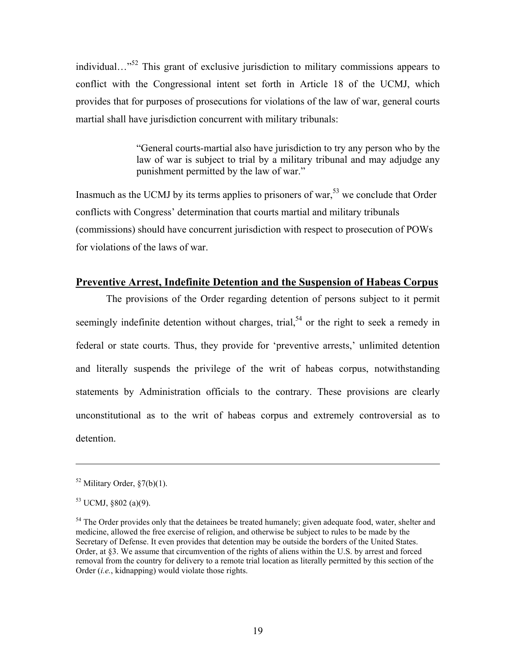individual…"[52](#page-18-0) This grant of exclusive jurisdiction to military commissions appears to conflict with the Congressional intent set forth in Article 18 of the UCMJ, which provides that for purposes of prosecutions for violations of the law of war, general courts martial shall have jurisdiction concurrent with military tribunals:

> "General courts-martial also have jurisdiction to try any person who by the law of war is subject to trial by a military tribunal and may adjudge any punishment permitted by the law of war."

Inasmuch as the UCMJ by its terms applies to prisoners of war,  $5<sup>3</sup>$  we conclude that Order conflicts with Congress' determination that courts martial and military tribunals (commissions) should have concurrent jurisdiction with respect to prosecution of POWs for violations of the laws of war.

# **Preventive Arrest, Indefinite Detention and the Suspension of Habeas Corpus**

The provisions of the Order regarding detention of persons subject to it permit seemingly indefinite detention without charges, trial,<sup>54</sup> or the right to seek a remedy in federal or state courts. Thus, they provide for 'preventive arrests,' unlimited detention and literally suspends the privilege of the writ of habeas corpus, notwithstanding statements by Administration officials to the contrary. These provisions are clearly unconstitutional as to the writ of habeas corpus and extremely controversial as to detention.

<span id="page-18-0"></span> $52$  Military Order, §7(b)(1).

<span id="page-18-1"></span><sup>53</sup> UCMJ, §802 (a)(9).

<span id="page-18-2"></span><sup>&</sup>lt;sup>54</sup> The Order provides only that the detainees be treated humanely; given adequate food, water, shelter and medicine, allowed the free exercise of religion, and otherwise be subject to rules to be made by the Secretary of Defense. It even provides that detention may be outside the borders of the United States. Order, at §3. We assume that circumvention of the rights of aliens within the U.S. by arrest and forced removal from the country for delivery to a remote trial location as literally permitted by this section of the Order (*i.e.*, kidnapping) would violate those rights.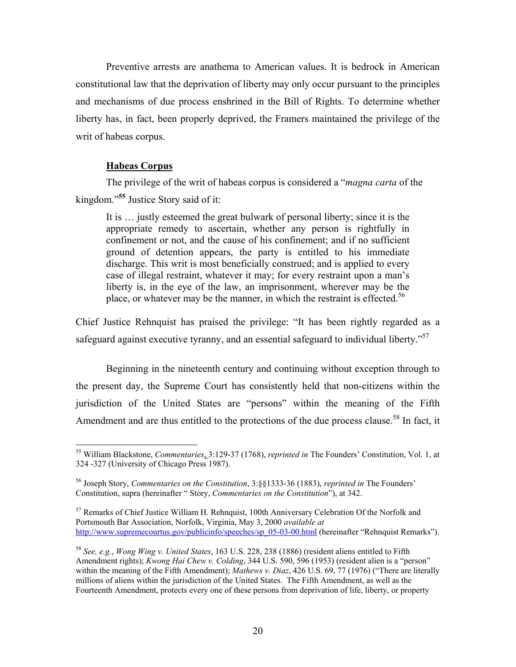<span id="page-19-3"></span>Preventive arrests are anathema to American values. It is bedrock in American constitutional law that the deprivation of liberty may only occur pursuant to the principles and mechanisms of due process enshrined in the Bill of Rights. To determine whether liberty has, in fact, been properly deprived, the Framers maintained the privilege of the writ of habeas corpus.

### **Habeas Corpus**

 $\overline{a}$ 

The privilege of the writ of habeas corpus is considered a "*magna carta* of the kingdom."**[55](#page-19-0)** Justice Story said of it:

It is … justly esteemed the great bulwark of personal liberty; since it is the appropriate remedy to ascertain, whether any person is rightfully in confinement or not, and the cause of his confinement; and if no sufficient ground of detention appears, the party is entitled to his immediate discharge. This writ is most beneficially construed; and is applied to every case of illegal restraint, whatever it may; for every restraint upon a man's liberty is, in the eye of the law, an imprisonment, wherever may be the place, or whatever may be the manner, in which the restraint is effected.<sup>[56](#page-19-1)</sup>

Chief Justice Rehnquist has praised the privilege: "It has been rightly regarded as a safeguard against executive tyranny, and an essential safeguard to individual liberty."<sup>57</sup>

Beginning in the nineteenth century and continuing without exception through to the present day, the Supreme Court has consistently held that non-citizens within the jurisdiction of the United States are "persons" within the meaning of the Fifth Amendment and are thus entitled to the protections of the due process clause.<sup>58</sup> In fact, it

<span id="page-19-0"></span><sup>55</sup> William Blackstone, *Commentaries*, 3:129-37 (1768), *reprinted in* The Founders' Constitution, Vol. 1, at 324 -327 (University of Chicago Press 1987).

<span id="page-19-1"></span><sup>56</sup> Joseph Story, *Commentaries on the Constitution*, 3:§§1333-36 (1883), *reprinted in* The Founders' Constitution, supra (hereinafter " Story, *Commentaries on the Constitution*"), at 342.

<span id="page-19-2"></span> $57$  Remarks of Chief Justice William H. Rehnquist, 100th Anniversary Celebration Of the Norfolk and Portsmouth Bar Association, Norfolk, Virginia, May 3, 2000 *available at* [http://www.supremecourtus.gov/publicinfo/speeches/sp\\_05-03-00.html](http://www.supremecourtus.gov/publicinfo/speeches/sp_05-03-00.html) (hereinafter "Rehnquist Remarks").

<sup>58</sup> *See, e.g.*, *Wong Wing v. United States*, 163 U.S. 228, 238 (1886) (resident aliens entitled to Fifth Amendment rights); *Kwong Hai Chew v. Colding*, 344 U.S. 590, 596 (1953) (resident alien is a "person" within the meaning of the Fifth Amendment); *Mathews v. Diaz*, 426 U.S. 69, 77 (1976) ("There are literally millions of aliens within the jurisdiction of the United States. The Fifth Amendment, as well as the Fourteenth Amendment, protects every one of these persons from deprivation of life, liberty, or property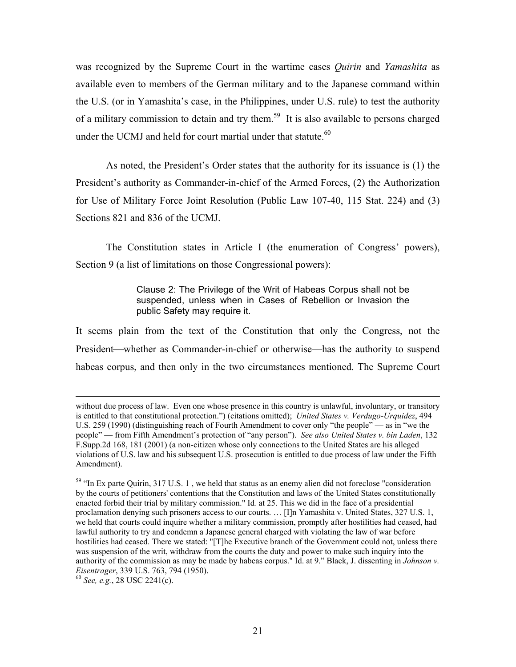was recognized by the Supreme Court in the wartime cases *Quirin* and *Yamashita* as available even to members of the German military and to the Japanese command within the U.S. (or in Yamashita's case, in the Philippines, under U.S. rule) to test the authority of a military commission to detain and try them.<sup>59</sup> It is also available to persons charged under the UCMJ and held for court martial under that statute. $^{60}$ 

As noted, the President's Order states that the authority for its issuance is (1) the President's authority as Commander-in-chief of the Armed Forces, (2) the Authorization for Use of Military Force Joint Resolution (Public Law 107-40, 115 Stat. 224) and (3) Sections 821 and 836 of the UCMJ.

The Constitution states in Article I (the enumeration of Congress' powers), Section 9 (a list of limitations on those Congressional powers):

> Clause 2: The Privilege of the Writ of Habeas Corpus shall not be suspended, unless when in Cases of Rebellion or Invasion the public Safety may require it.

It seems plain from the text of the Constitution that only the Congress, not the President—whether as Commander-in-chief or otherwise—has the authority to suspend habeas corpus, and then only in the two circumstances mentioned. The Supreme Court

without due process of law. Even one whose presence in this country is unlawful, involuntary, or transitory is entitled to that constitutional protection.") (citations omitted); *United States v. Verdugo-Urquidez*, 494 U.S. 259 (1990) (distinguishing reach of Fourth Amendment to cover only "the people" — as in "we the people" — from Fifth Amendment's protection of "any person"). *See also United States v. bin Laden*, 132 F.Supp.2d 168, 181 (2001) (a non-citizen whose only connections to the United States are his alleged violations of U.S. law and his subsequent U.S. prosecution is entitled to due process of law under the Fifth Amendment).

<span id="page-20-0"></span> $59$  "In Ex parte Quirin, 317 U.S. 1, we held that status as an enemy alien did not foreclose "consideration" by the courts of petitioners' contentions that the Constitution and laws of the United States constitutionally enacted forbid their trial by military commission." Id*.* at 25. This we did in the face of a presidential proclamation denying such prisoners access to our courts. … [I]n Yamashita v. United States, 327 U.S. 1, we held that courts could inquire whether a military commission, promptly after hostilities had ceased, had lawful authority to try and condemn a Japanese general charged with violating the law of war before hostilities had ceased. There we stated: "[T]he Executive branch of the Government could not, unless there was suspension of the writ, withdraw from the courts the duty and power to make such inquiry into the authority of the commission as may be made by habeas corpus." Id. at 9." Black, J. dissenting in *Johnson v.* 

<span id="page-20-1"></span><sup>&</sup>lt;sup>60</sup> See, e.g., 28 USC 2241(c).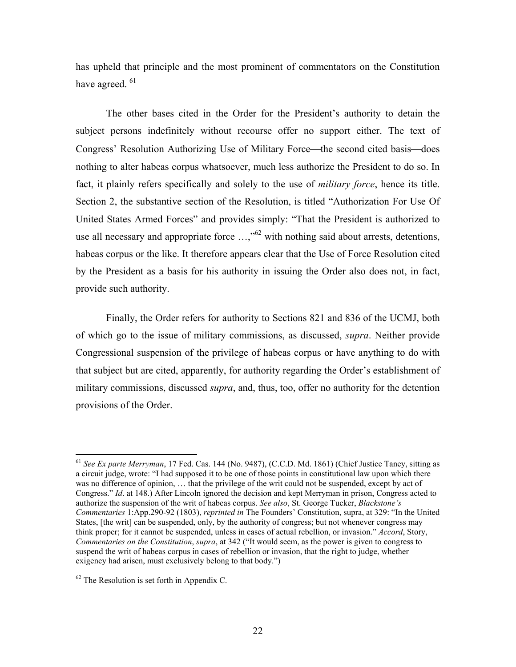has upheld that principle and the most prominent of commentators on the Constitution have agreed. <sup>[61](#page-21-0)</sup>

The other bases cited in the Order for the President's authority to detain the subject persons indefinitely without recourse offer no support either. The text of Congress' Resolution Authorizing Use of Military Force—the second cited basis—does nothing to alter habeas corpus whatsoever, much less authorize the President to do so. In fact, it plainly refers specifically and solely to the use of *military force*, hence its title. Section 2, the substantive section of the Resolution, is titled "Authorization For Use Of United States Armed Forces" and provides simply: "That the President is authorized to use all necessary and appropriate force  $...,$ <sup>62</sup> with nothing said about arrests, detentions, habeas corpus or the like. It therefore appears clear that the Use of Force Resolution cited by the President as a basis for his authority in issuing the Order also does not, in fact, provide such authority.

Finally, the Order refers for authority to Sections 821 and 836 of the UCMJ, both of which go to the issue of military commissions, as discussed, *supra*. Neither provide Congressional suspension of the privilege of habeas corpus or have anything to do with that subject but are cited, apparently, for authority regarding the Order's establishment of military commissions, discussed *supra*, and, thus, too, offer no authority for the detention provisions of the Order.

<span id="page-21-0"></span><sup>61</sup> *See Ex parte Merryman*, 17 Fed. Cas. 144 (No. 9487), (C.C.D. Md. 1861) (Chief Justice Taney, sitting as a circuit judge, wrote: "I had supposed it to be one of those points in constitutional law upon which there was no difference of opinion, … that the privilege of the writ could not be suspended, except by act of Congress." *Id*. at 148.) After Lincoln ignored the decision and kept Merryman in prison, Congress acted to authorize the suspension of the writ of habeas corpus. *See also*, St. George Tucker, *Blackstone's Commentaries* 1:App.290-92 (1803), *reprinted in* The Founders' Constitution, supra, at 329: "In the United States, [the writ] can be suspended, only, by the authority of congress; but not whenever congress may think proper; for it cannot be suspended, unless in cases of actual rebellion, or invasion." *Accord*, Story, *Commentaries on the Constitution*, *supra*, at 342 ("It would seem, as the power is given to congress to suspend the writ of habeas corpus in cases of rebellion or invasion, that the right to judge, whether exigency had arisen, must exclusively belong to that body.")

<span id="page-21-1"></span> $62$  The Resolution is set forth in Appendix C.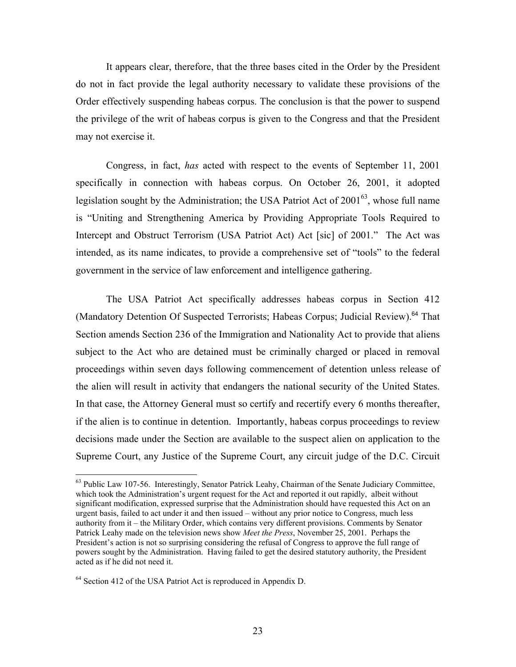It appears clear, therefore, that the three bases cited in the Order by the President do not in fact provide the legal authority necessary to validate these provisions of the Order effectively suspending habeas corpus. The conclusion is that the power to suspend the privilege of the writ of habeas corpus is given to the Congress and that the President may not exercise it.

Congress, in fact, *has* acted with respect to the events of September 11, 2001 specifically in connection with habeas corpus. On October 26, 2001, it adopted legislation sought by the Administration; the USA Patriot Act of  $2001^{63}$ , whose full name is "Uniting and Strengthening America by Providing Appropriate Tools Required to Intercept and Obstruct Terrorism (USA Patriot Act) Act [sic] of 2001." The Act was intended, as its name indicates, to provide a comprehensive set of "tools" to the federal government in the service of law enforcement and intelligence gathering.

The USA Patriot Act specifically addresses habeas corpus in Section 412 (Mandatory Detention Of Suspected Terrorists; Habeas Corpus; Judicial Review).<sup>[64](#page-22-1)</sup> That Section amends Section 236 of the Immigration and Nationality Act to provide that aliens subject to the Act who are detained must be criminally charged or placed in removal proceedings within seven days following commencement of detention unless release of the alien will result in activity that endangers the national security of the United States. In that case, the Attorney General must so certify and recertify every 6 months thereafter, if the alien is to continue in detention. Importantly, habeas corpus proceedings to review decisions made under the Section are available to the suspect alien on application to the Supreme Court, any Justice of the Supreme Court, any circuit judge of the D.C. Circuit

<span id="page-22-0"></span><sup>&</sup>lt;sup>63</sup> Public Law 107-56. Interestingly, Senator Patrick Leahy, Chairman of the Senate Judiciary Committee, which took the Administration's urgent request for the Act and reported it out rapidly, albeit without significant modification, expressed surprise that the Administration should have requested this Act on an urgent basis, failed to act under it and then issued – without any prior notice to Congress, much less authority from it – the Military Order, which contains very different provisions. Comments by Senator Patrick Leahy made on the television news show *Meet the Press*, November 25, 2001. Perhaps the President's action is not so surprising considering the refusal of Congress to approve the full range of powers sought by the Administration. Having failed to get the desired statutory authority, the President acted as if he did not need it.

<span id="page-22-1"></span><sup>&</sup>lt;sup>64</sup> Section 412 of the USA Patriot Act is reproduced in Appendix D.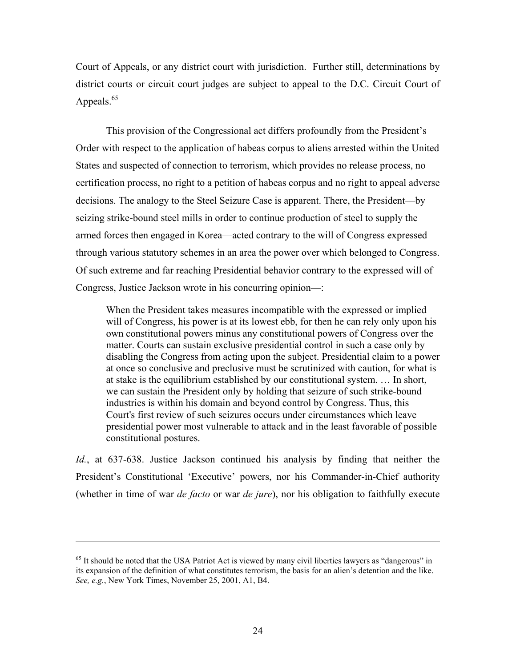Court of Appeals, or any district court with jurisdiction. Further still, determinations by district courts or circuit court judges are subject to appeal to the D.C. Circuit Court of Appeals. $65$ 

This provision of the Congressional act differs profoundly from the President's Order with respect to the application of habeas corpus to aliens arrested within the United States and suspected of connection to terrorism, which provides no release process, no certification process, no right to a petition of habeas corpus and no right to appeal adverse decisions. The analogy to the Steel Seizure Case is apparent. There, the President—by seizing strike-bound steel mills in order to continue production of steel to supply the armed forces then engaged in Korea—acted contrary to the will of Congress expressed through various statutory schemes in an area the power over which belonged to Congress. Of such extreme and far reaching Presidential behavior contrary to the expressed will of Congress, Justice Jackson wrote in his concurring opinion—:

When the President takes measures incompatible with the expressed or implied will of Congress, his power is at its lowest ebb, for then he can rely only upon his own constitutional powers minus any constitutional powers of Congress over the matter. Courts can sustain exclusive presidential control in such a case only by disabling the Congress from acting upon the subject. Presidential claim to a power at once so conclusive and preclusive must be scrutinized with caution, for what is at stake is the equilibrium established by our constitutional system. … In short, we can sustain the President only by holding that seizure of such strike-bound industries is within his domain and beyond control by Congress. Thus, this Court's first review of such seizures occurs under circumstances which leave presidential power most vulnerable to attack and in the least favorable of possible constitutional postures.

*Id.*, at 637-638. Justice Jackson continued his analysis by finding that neither the President's Constitutional 'Executive' powers, nor his Commander-in-Chief authority (whether in time of war *de facto* or war *de jure*), nor his obligation to faithfully execute

<span id="page-23-0"></span><sup>&</sup>lt;sup>65</sup> It should be noted that the USA Patriot Act is viewed by many civil liberties lawyers as "dangerous" in its expansion of the definition of what constitutes terrorism, the basis for an alien's detention and the like. *See, e.g.*, New York Times, November 25, 2001, A1, B4.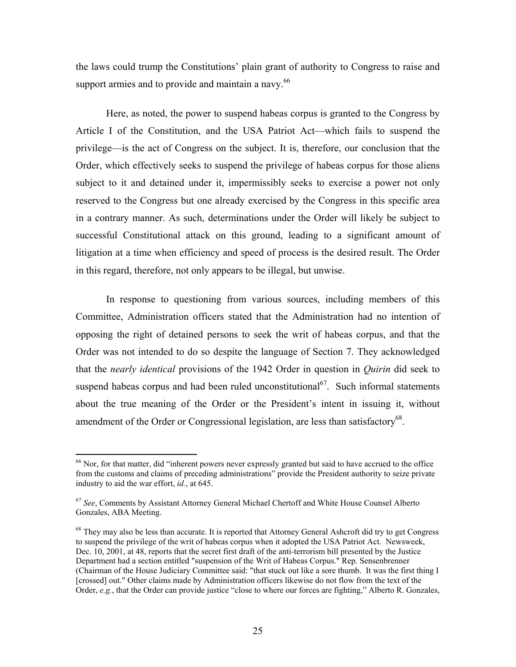<span id="page-24-2"></span>the laws could trump the Constitutions' plain grant of authority to Congress to raise and support armies and to provide and maintain a navy.<sup>66</sup>

Here, as noted, the power to suspend habeas corpus is granted to the Congress by Article I of the Constitution, and the USA Patriot Act—which fails to suspend the privilege—is the act of Congress on the subject. It is, therefore, our conclusion that the Order, which effectively seeks to suspend the privilege of habeas corpus for those aliens subject to it and detained under it, impermissibly seeks to exercise a power not only reserved to the Congress but one already exercised by the Congress in this specific area in a contrary manner. As such, determinations under the Order will likely be subject to successful Constitutional attack on this ground, leading to a significant amount of litigation at a time when efficiency and speed of process is the desired result. The Order in this regard, therefore, not only appears to be illegal, but unwise.

In response to questioning from various sources, including members of this Committee, Administration officers stated that the Administration had no intention of opposing the right of detained persons to seek the writ of habeas corpus, and that the Order was not intended to do so despite the language of Section 7. They acknowledged that the *nearly identical* provisions of the 1942 Order in question in *Quirin* did seek to suspend habeas corpus and had been ruled unconstitutional<sup>67</sup>. Such informal statements about the true meaning of the Order or the President's intent in issuing it, without amendment of the Order or Congressional legislation, are less than satisfactory<sup>68</sup>.

<span id="page-24-0"></span><sup>&</sup>lt;sup>66</sup> Nor, for that matter, did "inherent powers never expressly granted but said to have accrued to the office from the customs and claims of preceding administrations" provide the President authority to seize private industry to aid the war effort, *id.*, at 645.

<span id="page-24-1"></span><sup>67</sup> *See*, Comments by Assistant Attorney General Michael Chertoff and White House Counsel Alberto Gonzales, ABA Meeting.

<sup>&</sup>lt;sup>68</sup> They may also be less than accurate. It is reported that Attorney General Ashcroft did try to get Congress to suspend the privilege of the writ of habeas corpus when it adopted the USA Patriot Act. Newsweek, Dec. 10, 2001, at 48, reports that the secret first draft of the anti-terrorism bill presented by the Justice Department had a section entitled "suspension of the Writ of Habeas Corpus." Rep. Sensenbrenner (Chairman of the House Judiciary Committee said: "that stuck out like a sore thumb. It was the first thing I [crossed] out." Other claims made by Administration officers likewise do not flow from the text of the Order, *e.g.*, that the Order can provide justice "close to where our forces are fighting," Alberto R. Gonzales,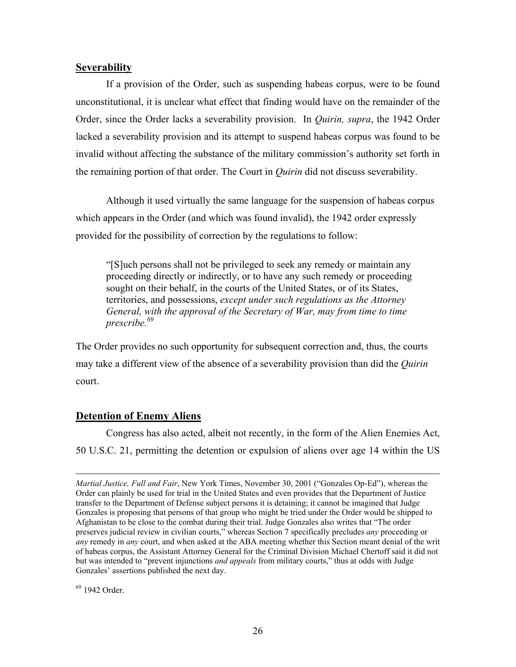## **Severability**

If a provision of the Order, such as suspending habeas corpus, were to be found unconstitutional, it is unclear what effect that finding would have on the remainder of the Order, since the Order lacks a severability provision. In *Quirin, supra*, the 1942 Order lacked a severability provision and its attempt to suspend habeas corpus was found to be invalid without affecting the substance of the military commission's authority set forth in the remaining portion of that order. The Court in *Quirin* did not discuss severability.

Although it used virtually the same language for the suspension of habeas corpus which appears in the Order (and which was found invalid), the 1942 order expressly provided for the possibility of correction by the regulations to follow:

"[S]uch persons shall not be privileged to seek any remedy or maintain any proceeding directly or indirectly, or to have any such remedy or proceeding sought on their behalf, in the courts of the United States, or of its States, territories, and possessions, *except under such regulations as the Attorney General, with the approval of the Secretary of War, may from time to time prescribe.[69](#page-25-0)*

The Order provides no such opportunity for subsequent correction and, thus, the courts may take a different view of the absence of a severability provision than did the *Quirin*  court.

# **Detention of Enemy Aliens**

Congress has also acted, albeit not recently, in the form of the Alien Enemies Act, 50 U.S.C. 21, permitting the detention or expulsion of aliens over age 14 within the US

<span id="page-25-0"></span>69 1942 Order.

*Martial Justice, Full and Fair*, New York Times, November 30, 2001 ("Gonzales Op-Ed"), whereas the Order can plainly be used for trial in the United States and even provides that the Department of Justice transfer to the Department of Defense subject persons it is detaining; it cannot be imagined that Judge Gonzales is proposing that persons of that group who might be tried under the Order would be shipped to Afghanistan to be close to the combat during their trial. Judge Gonzales also writes that "The order preserves judicial review in civilian courts," whereas Section 7 specifically precludes *any* proceeding or *any* remedy in *any* court, and when asked at the ABA meeting whether this Section meant denial of the writ of habeas corpus, the Assistant Attorney General for the Criminal Division Michael Chertoff said it did not but was intended to "prevent injunctions *and appeals* from military courts," thus at odds with Judge Gonzales' assertions published the next day.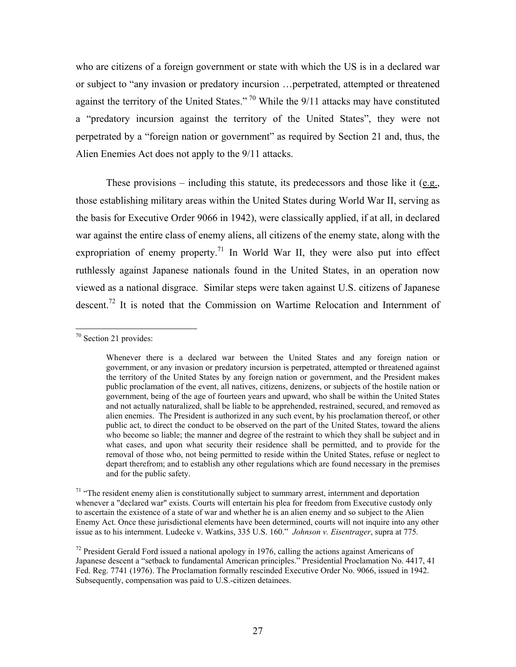who are citizens of a foreign government or state with which the US is in a declared war or subject to "any invasion or predatory incursion …perpetrated, attempted or threatened against the territory of the United States."<sup>70</sup> While the  $9/11$  attacks may have constituted a "predatory incursion against the territory of the United States", they were not perpetrated by a "foreign nation or government" as required by Section 21 and, thus, the Alien Enemies Act does not apply to the 9/11 attacks.

These provisions – including this statute, its predecessors and those like it (e.g., those establishing military areas within the United States during World War II, serving as the basis for Executive Order 9066 in 1942), were classically applied, if at all, in declared war against the entire class of enemy aliens, all citizens of the enemy state, along with the expropriation of enemy property.<sup>71</sup> In World War II, they were also put into effect ruthlessly against Japanese nationals found in the United States, in an operation now viewed as a national disgrace. Similar steps were taken against U.S. citizens of Japanese descent.<sup>72</sup> It is noted that the Commission on Wartime Relocation and Internment of

 $\overline{a}$ 

<span id="page-26-1"></span><sup>71</sup> "The resident enemy alien is constitutionally subject to summary arrest, internment and deportation whenever a "declared war" exists. Courts will entertain his plea for freedom from Executive custody only to ascertain the existence of a state of war and whether he is an alien enemy and so subject to the Alien Enemy Act. Once these jurisdictional elements have been determined, courts will not inquire into any other issue as to his internment. Ludecke v. Watkins, 335 U.S. 160." *Johnson v. Eisentrager*, supra at 775*.*

<span id="page-26-0"></span> $70$  Section 21 provides:

Whenever there is a declared war between the United States and any foreign nation or government, or any invasion or predatory incursion is perpetrated, attempted or threatened against the territory of the United States by any foreign nation or government, and the President makes public proclamation of the event, all natives, citizens, denizens, or subjects of the hostile nation or government, being of the age of fourteen years and upward, who shall be within the United States and not actually naturalized, shall be liable to be apprehended, restrained, secured, and removed as alien enemies. The President is authorized in any such event, by his proclamation thereof, or other public act, to direct the conduct to be observed on the part of the United States, toward the aliens who become so liable; the manner and degree of the restraint to which they shall be subject and in what cases, and upon what security their residence shall be permitted, and to provide for the removal of those who, not being permitted to reside within the United States, refuse or neglect to depart therefrom; and to establish any other regulations which are found necessary in the premises and for the public safety.

<span id="page-26-2"></span> $^{72}$  President Gerald Ford issued a national apology in 1976, calling the actions against Americans of Japanese descent a "setback to fundamental American principles." Presidential Proclamation No. 4417, 41 Fed. Reg. 7741 (1976). The Proclamation formally rescinded Executive Order No. 9066, issued in 1942. Subsequently, compensation was paid to U.S.-citizen detainees.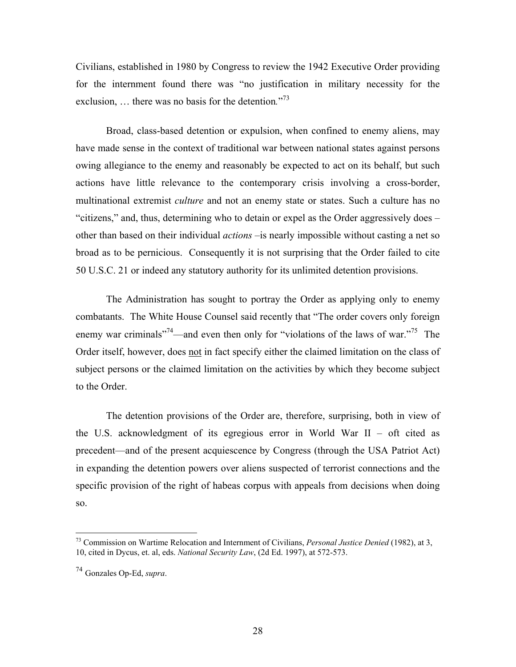Civilians, established in 1980 by Congress to review the 1942 Executive Order providing for the internment found there was "no justification in military necessity for the exclusion, ... there was no basis for the detention.<sup>"[73](#page-27-0)</sup>

Broad, class-based detention or expulsion, when confined to enemy aliens, may have made sense in the context of traditional war between national states against persons owing allegiance to the enemy and reasonably be expected to act on its behalf, but such actions have little relevance to the contemporary crisis involving a cross-border, multinational extremist *culture* and not an enemy state or states. Such a culture has no "citizens," and, thus, determining who to detain or expel as the Order aggressively does – other than based on their individual *actions* –is nearly impossible without casting a net so broad as to be pernicious. Consequently it is not surprising that the Order failed to cite 50 U.S.C. 21 or indeed any statutory authority for its unlimited detention provisions.

The Administration has sought to portray the Order as applying only to enemy combatants. The White House Counsel said recently that "The order covers only foreign enemy war criminals"<sup>74</sup>—and even then only for "violations of the laws of war."<sup>75</sup> The Order itself, however, does not in fact specify either the claimed limitation on the class of subject persons or the claimed limitation on the activities by which they become subject to the Order.

The detention provisions of the Order are, therefore, surprising, both in view of the U.S. acknowledgment of its egregious error in World War II – oft cited as precedent—and of the present acquiescence by Congress (through the USA Patriot Act) in expanding the detention powers over aliens suspected of terrorist connections and the specific provision of the right of habeas corpus with appeals from decisions when doing so.

<span id="page-27-2"></span><span id="page-27-0"></span><sup>73</sup> Commission on Wartime Relocation and Internment of Civilians, *Personal Justice Denied* (1982), at 3, 10, cited in Dycus, et. al, eds. *National Security Law*, (2d Ed. 1997), at 572-573.

<span id="page-27-1"></span><sup>74</sup> Gonzales Op-Ed, *supra*.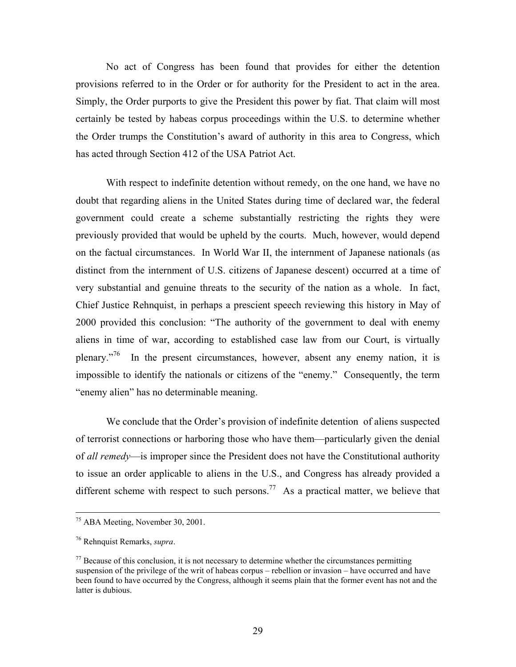No act of Congress has been found that provides for either the detention provisions referred to in the Order or for authority for the President to act in the area. Simply, the Order purports to give the President this power by fiat. That claim will most certainly be tested by habeas corpus proceedings within the U.S. to determine whether the Order trumps the Constitution's award of authority in this area to Congress, which has acted through Section 412 of the USA Patriot Act.

With respect to indefinite detention without remedy, on the one hand, we have no doubt that regarding aliens in the United States during time of declared war, the federal government could create a scheme substantially restricting the rights they were previously provided that would be upheld by the courts. Much, however, would depend on the factual circumstances. In World War II, the internment of Japanese nationals (as distinct from the internment of U.S. citizens of Japanese descent) occurred at a time of very substantial and genuine threats to the security of the nation as a whole. In fact, Chief Justice Rehnquist, in perhaps a prescient speech reviewing this history in May of 2000 provided this conclusion: "The authority of the government to deal with enemy aliens in time of war, according to established case law from our Court, is virtually plenary."<sup>76</sup> In the present circumstances, however, absent any enemy nation, it is impossible to identify the nationals or citizens of the "enemy." Consequently, the term "enemy alien" has no determinable meaning.

We conclude that the Order's provision of indefinite detention of aliens suspected of terrorist connections or harboring those who have them—particularly given the denial of *all remedy*—is improper since the President does not have the Constitutional authority to issue an order applicable to aliens in the U.S., and Congress has already provided a different scheme with respect to such persons.<sup>77</sup> As a practical matter, we believe that

 <sup>75</sup> ABA Meeting, November 30, 2001.

<span id="page-28-0"></span><sup>76</sup> Rehnquist Remarks, *supra*.

<span id="page-28-1"></span> $77$  Because of this conclusion, it is not necessary to determine whether the circumstances permitting suspension of the privilege of the writ of habeas corpus – rebellion or invasion – have occurred and have been found to have occurred by the Congress, although it seems plain that the former event has not and the latter is dubious.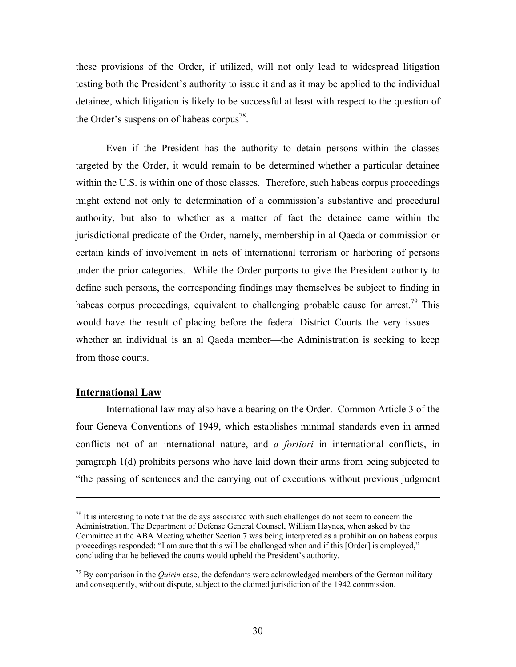these provisions of the Order, if utilized, will not only lead to widespread litigation testing both the President's authority to issue it and as it may be applied to the individual detainee, which litigation is likely to be successful at least with respect to the question of the Order's suspension of habeas corpus<sup>78</sup>.

Even if the President has the authority to detain persons within the classes targeted by the Order, it would remain to be determined whether a particular detainee within the U.S. is within one of those classes. Therefore, such habeas corpus proceedings might extend not only to determination of a commission's substantive and procedural authority, but also to whether as a matter of fact the detainee came within the jurisdictional predicate of the Order, namely, membership in al Qaeda or commission or certain kinds of involvement in acts of international terrorism or harboring of persons under the prior categories. While the Order purports to give the President authority to define such persons, the corresponding findings may themselves be subject to finding in habeas corpus proceedings, equivalent to challenging probable cause for arrest.<sup>79</sup> This would have the result of placing before the federal District Courts the very issues whether an individual is an al Qaeda member—the Administration is seeking to keep from those courts.

### **International Law**

 $\overline{a}$ 

International law may also have a bearing on the Order. Common Article 3 of the four Geneva Conventions of 1949, which establishes minimal standards even in armed conflicts not of an international nature, and *a fortiori* in international conflicts, in paragraph 1(d) prohibits persons who have laid down their arms from being subjected to "the passing of sentences and the carrying out of executions without previous judgment

<span id="page-29-0"></span> $78$  It is interesting to note that the delays associated with such challenges do not seem to concern the Administration. The Department of Defense General Counsel, William Haynes, when asked by the Committee at the ABA Meeting whether Section 7 was being interpreted as a prohibition on habeas corpus proceedings responded: "I am sure that this will be challenged when and if this [Order] is employed," concluding that he believed the courts would upheld the President's authority.

<span id="page-29-1"></span> $79$  By comparison in the *Quirin* case, the defendants were acknowledged members of the German military and consequently, without dispute, subject to the claimed jurisdiction of the 1942 commission.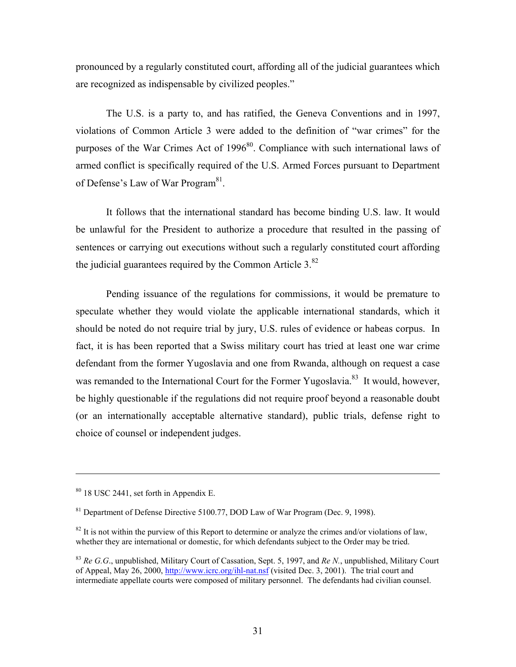pronounced by a regularly constituted court, affording all of the judicial guarantees which are recognized as indispensable by civilized peoples."

The U.S. is a party to, and has ratified, the Geneva Conventions and in 1997, violations of Common Article 3 were added to the definition of "war crimes" for the purposes of the War Crimes Act of  $1996^{80}$ . Compliance with such international laws of armed conflict is specifically required of the U.S. Armed Forces pursuant to Department of Defense's Law of War Program<sup>81</sup>.

It follows that the international standard has become binding U.S. law. It would be unlawful for the President to authorize a procedure that resulted in the passing of sentences or carrying out executions without such a regularly constituted court affording the judicial guarantees required by the Common Article  $3^{82}$  $3^{82}$  $3^{82}$ .

Pending issuance of the regulations for commissions, it would be premature to speculate whether they would violate the applicable international standards, which it should be noted do not require trial by jury, U.S. rules of evidence or habeas corpus. In fact, it is has been reported that a Swiss military court has tried at least one war crime defendant from the former Yugoslavia and one from Rwanda, although on request a case was remanded to the International Court for the Former Yugoslavia.<sup>83</sup> It would, however, be highly questionable if the regulations did not require proof beyond a reasonable doubt (or an internationally acceptable alternative standard), public trials, defense right to choice of counsel or independent judges.

<u>.</u>

<span id="page-30-0"></span><sup>80 18</sup> USC 2441, set forth in Appendix E.

<span id="page-30-1"></span><sup>&</sup>lt;sup>81</sup> Department of Defense Directive 5100.77, DOD Law of War Program (Dec. 9, 1998).

<span id="page-30-2"></span> $82$  It is not within the purview of this Report to determine or analyze the crimes and/or violations of law, whether they are international or domestic, for which defendants subject to the Order may be tried.

<span id="page-30-3"></span><sup>83</sup> *Re G.G*., unpublished, Military Court of Cassation, Sept. 5, 1997, and *Re N.*, unpublished, Military Court of Appeal, May 26, 2000,<http://www.icrc.org/ihl-nat.nsf>(visited Dec. 3, 2001). The trial court and intermediate appellate courts were composed of military personnel. The defendants had civilian counsel.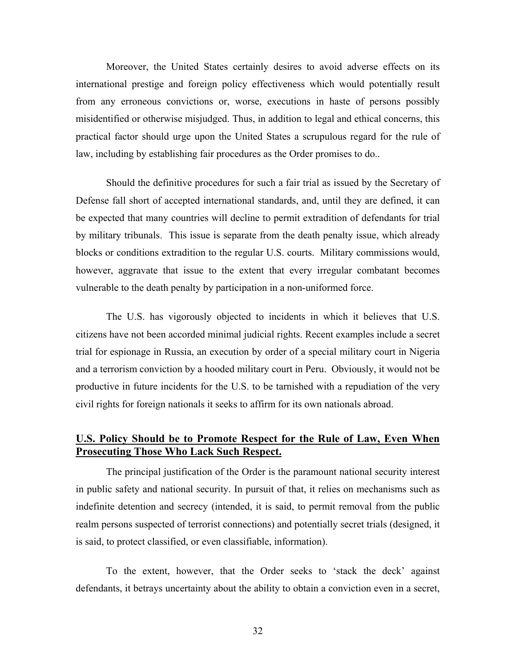Moreover, the United States certainly desires to avoid adverse effects on its international prestige and foreign policy effectiveness which would potentially result from any erroneous convictions or, worse, executions in haste of persons possibly misidentified or otherwise misjudged. Thus, in addition to legal and ethical concerns, this practical factor should urge upon the United States a scrupulous regard for the rule of law, including by establishing fair procedures as the Order promises to do..

Should the definitive procedures for such a fair trial as issued by the Secretary of Defense fall short of accepted international standards, and, until they are defined, it can be expected that many countries will decline to permit extradition of defendants for trial by military tribunals. This issue is separate from the death penalty issue, which already blocks or conditions extradition to the regular U.S. courts. Military commissions would, however, aggravate that issue to the extent that every irregular combatant becomes vulnerable to the death penalty by participation in a non-uniformed force.

The U.S. has vigorously objected to incidents in which it believes that U.S. citizens have not been accorded minimal judicial rights. Recent examples include a secret trial for espionage in Russia, an execution by order of a special military court in Nigeria and a terrorism conviction by a hooded military court in Peru. Obviously, it would not be productive in future incidents for the U.S. to be tarnished with a repudiation of the very civil rights for foreign nationals it seeks to affirm for its own nationals abroad.

## **U.S. Policy Should be to Promote Respect for the Rule of Law, Even When Prosecuting Those Who Lack Such Respect.**

The principal justification of the Order is the paramount national security interest in public safety and national security. In pursuit of that, it relies on mechanisms such as indefinite detention and secrecy (intended, it is said, to permit removal from the public realm persons suspected of terrorist connections) and potentially secret trials (designed, it is said, to protect classified, or even classifiable, information).

To the extent, however, that the Order seeks to 'stack the deck' against defendants, it betrays uncertainty about the ability to obtain a conviction even in a secret,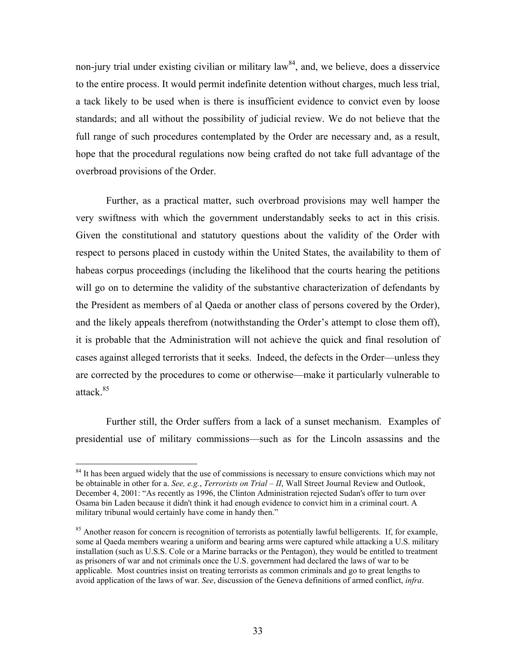non-jury trial under existing civilian or military law<sup>84</sup>, and, we believe, does a disservice to the entire process. It would permit indefinite detention without charges, much less trial, a tack likely to be used when is there is insufficient evidence to convict even by loose standards; and all without the possibility of judicial review. We do not believe that the full range of such procedures contemplated by the Order are necessary and, as a result, hope that the procedural regulations now being crafted do not take full advantage of the overbroad provisions of the Order.

Further, as a practical matter, such overbroad provisions may well hamper the very swiftness with which the government understandably seeks to act in this crisis. Given the constitutional and statutory questions about the validity of the Order with respect to persons placed in custody within the United States, the availability to them of habeas corpus proceedings (including the likelihood that the courts hearing the petitions will go on to determine the validity of the substantive characterization of defendants by the President as members of al Qaeda or another class of persons covered by the Order), and the likely appeals therefrom (notwithstanding the Order's attempt to close them off), it is probable that the Administration will not achieve the quick and final resolution of cases against alleged terrorists that it seeks. Indeed, the defects in the Order—unless they are corrected by the procedures to come or otherwise—make it particularly vulnerable to attack.<sup>[85](#page-32-1)</sup>

Further still, the Order suffers from a lack of a sunset mechanism. Examples of presidential use of military commissions—such as for the Lincoln assassins and the

<span id="page-32-0"></span> $84$  It has been argued widely that the use of commissions is necessary to ensure convictions which may not be obtainable in other for a. *See, e.g.*, *Terrorists on Trial – II*, Wall Street Journal Review and Outlook, December 4, 2001: "As recently as 1996, the Clinton Administration rejected Sudan's offer to turn over Osama bin Laden because it didn't think it had enough evidence to convict him in a criminal court. A military tribunal would certainly have come in handy then."

<span id="page-32-1"></span> $85$  Another reason for concern is recognition of terrorists as potentially lawful belligerents. If, for example, some al Qaeda members wearing a uniform and bearing arms were captured while attacking a U.S. military installation (such as U.S.S. Cole or a Marine barracks or the Pentagon), they would be entitled to treatment as prisoners of war and not criminals once the U.S. government had declared the laws of war to be applicable. Most countries insist on treating terrorists as common criminals and go to great lengths to avoid application of the laws of war. *See*, discussion of the Geneva definitions of armed conflict, *infra*.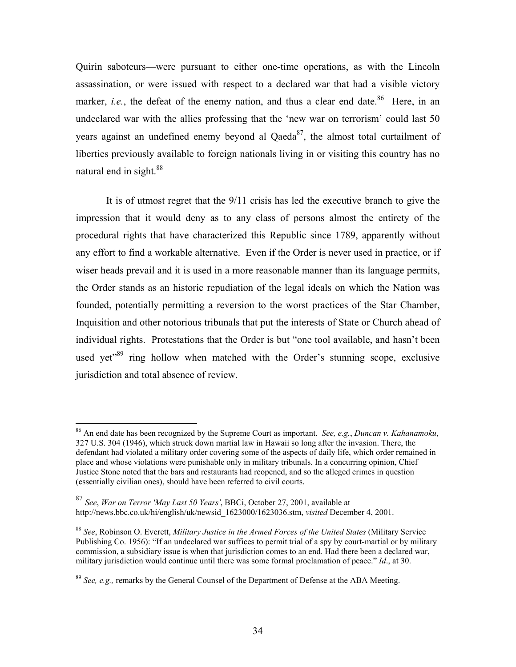Quirin saboteurs—were pursuant to either one-time operations, as with the Lincoln assassination, or were issued with respect to a declared war that had a visible victory marker, *i.e.*, the defeat of the enemy nation, and thus a clear end date.<sup>86</sup> Here, in an undeclared war with the allies professing that the 'new war on terrorism' could last 50 years against an undefined enemy beyond al Qaeda $^{87}$ , the almost total curtailment of liberties previously available to foreign nationals living in or visiting this country has no natural end in sight.<sup>88</sup>

It is of utmost regret that the 9/11 crisis has led the executive branch to give the impression that it would deny as to any class of persons almost the entirety of the procedural rights that have characterized this Republic since 1789, apparently without any effort to find a workable alternative. Even if the Order is never used in practice, or if wiser heads prevail and it is used in a more reasonable manner than its language permits, the Order stands as an historic repudiation of the legal ideals on which the Nation was founded, potentially permitting a reversion to the worst practices of the Star Chamber, Inquisition and other notorious tribunals that put the interests of State or Church ahead of individual rights. Protestations that the Order is but "one tool available, and hasn't been used yet<sup> $389$ </sup> ring hollow when matched with the Order's stunning scope, exclusive jurisdiction and total absence of review.

1

<span id="page-33-0"></span><sup>86</sup> An end date has been recognized by the Supreme Court as important. *See, e.g.*, *Duncan v. Kahanamoku*, 327 U.S. 304 (1946), which struck down martial law in Hawaii so long after the invasion. There, the defendant had violated a military order covering some of the aspects of daily life, which order remained in place and whose violations were punishable only in military tribunals. In a concurring opinion, Chief Justice Stone noted that the bars and restaurants had reopened, and so the alleged crimes in question (essentially civilian ones), should have been referred to civil courts.

<span id="page-33-1"></span><sup>87</sup> *See*, *War on Terror 'May Last 50 Years'*, BBCi, October 27, 2001, available at [http://news.bbc.co.uk/hi/english/uk/newsid\\_1623000/1623036.stm,](http://news.bbc.co.uk/hi/english/uk/newsid_1623000/1623036.stm) *visited* December 4, 2001.

<span id="page-33-2"></span><sup>88</sup> *See*, Robinson O. Everett, *Military Justice in the Armed Forces of the United States* (Military Service Publishing Co. 1956): "If an undeclared war suffices to permit trial of a spy by court-martial or by military commission, a subsidiary issue is when that jurisdiction comes to an end. Had there been a declared war, military jurisdiction would continue until there was some formal proclamation of peace." *Id*., at 30.

<span id="page-33-3"></span><sup>89</sup> *See, e.g.,* remarks by the General Counsel of the Department of Defense at the ABA Meeting.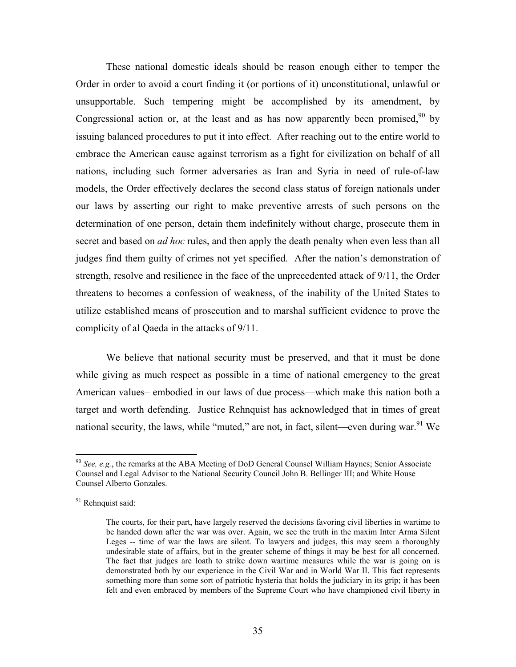<span id="page-34-1"></span>These national domestic ideals should be reason enough either to temper the Order in order to avoid a court finding it (or portions of it) unconstitutional, unlawful or unsupportable. Such tempering might be accomplished by its amendment, by Congressional action or, at the least and as has now apparently been promised,<sup>90</sup> by issuing balanced procedures to put it into effect. After reaching out to the entire world to embrace the American cause against terrorism as a fight for civilization on behalf of all nations, including such former adversaries as Iran and Syria in need of rule-of-law models, the Order effectively declares the second class status of foreign nationals under our laws by asserting our right to make preventive arrests of such persons on the determination of one person, detain them indefinitely without charge, prosecute them in secret and based on *ad hoc* rules, and then apply the death penalty when even less than all judges find them guilty of crimes not yet specified. After the nation's demonstration of strength, resolve and resilience in the face of the unprecedented attack of 9/11, the Order threatens to becomes a confession of weakness, of the inability of the United States to utilize established means of prosecution and to marshal sufficient evidence to prove the complicity of al Qaeda in the attacks of 9/11.

We believe that national security must be preserved, and that it must be done while giving as much respect as possible in a time of national emergency to the great American values– embodied in our laws of due process—which make this nation both a target and worth defending. Justice Rehnquist has acknowledged that in times of great national security, the laws, while "muted," are not, in fact, silent—even during war. $91$  We

<span id="page-34-0"></span><sup>90</sup> *See, e.g.*, the remarks at the ABA Meeting of DoD General Counsel William Haynes; Senior Associate Counsel and Legal Advisor to the National Security Council John B. Bellinger III; and White House Counsel Alberto Gonzales.

<sup>&</sup>lt;sup>91</sup> Rehnquist said:

The courts, for their part, have largely reserved the decisions favoring civil liberties in wartime to be handed down after the war was over. Again, we see the truth in the maxim Inter Arma Silent Leges -- time of war the laws are silent. To lawyers and judges, this may seem a thoroughly undesirable state of affairs, but in the greater scheme of things it may be best for all concerned. The fact that judges are loath to strike down wartime measures while the war is going on is demonstrated both by our experience in the Civil War and in World War II. This fact represents something more than some sort of patriotic hysteria that holds the judiciary in its grip; it has been felt and even embraced by members of the Supreme Court who have championed civil liberty in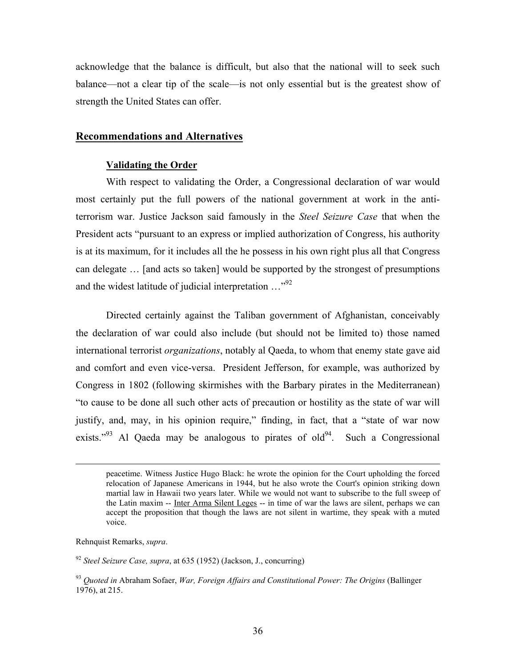acknowledge that the balance is difficult, but also that the national will to seek such balance—not a clear tip of the scale—is not only essential but is the greatest show of strength the United States can offer.

### **Recommendations and Alternatives**

#### **Validating the Order**

With respect to validating the Order, a Congressional declaration of war would most certainly put the full powers of the national government at work in the antiterrorism war. Justice Jackson said famously in the *Steel Seizure Case* that when the President acts "pursuant to an express or implied authorization of Congress, his authority is at its maximum, for it includes all the he possess in his own right plus all that Congress can delegate … [and acts so taken] would be supported by the strongest of presumptions and the widest latitude of judicial interpretation …"[92](#page-35-0)

Directed certainly against the Taliban government of Afghanistan, conceivably the declaration of war could also include (but should not be limited to) those named international terrorist *organizations*, notably al Qaeda, to whom that enemy state gave aid and comfort and even vice-versa. President Jefferson, for example, was authorized by Congress in 1802 (following skirmishes with the Barbary pirates in the Mediterranean) "to cause to be done all such other acts of precaution or hostility as the state of war will justify, and, may, in his opinion require," finding, in fact, that a "state of war now exists."<sup>93</sup> Al Qaeda may be analogous to pirates of old<sup>94</sup>. Such a Congressional

Rehnquist Remarks, *supra*.

<span id="page-35-2"></span><span id="page-35-0"></span><sup>92</sup> *Steel Seizure Case, supra*, at 635 (1952) (Jackson, J., concurring)

peacetime. Witness Justice Hugo Black: he wrote the opinion for the Court upholding the forced relocation of Japanese Americans in 1944, but he also wrote the Court's opinion striking down martial law in Hawaii two years later. While we would not want to subscribe to the full sweep of the Latin maxim -- Inter Arma Silent Leges -- in time of war the laws are silent, perhaps we can accept the proposition that though the laws are not silent in wartime, they speak with a muted voice.

<span id="page-35-1"></span><sup>93</sup> *Quoted in* Abraham Sofaer, *War, Foreign Affairs and Constitutional Power: The Origins* (Ballinger 1976), at 215.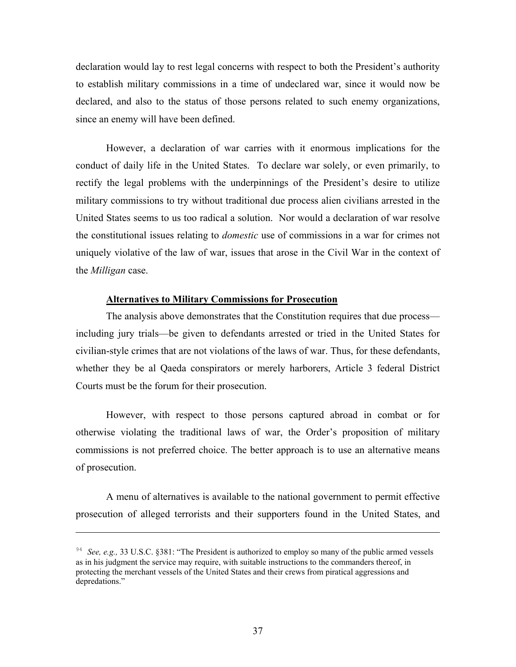declaration would lay to rest legal concerns with respect to both the President's authority to establish military commissions in a time of undeclared war, since it would now be declared, and also to the status of those persons related to such enemy organizations, since an enemy will have been defined.

However, a declaration of war carries with it enormous implications for the conduct of daily life in the United States. To declare war solely, or even primarily, to rectify the legal problems with the underpinnings of the President's desire to utilize military commissions to try without traditional due process alien civilians arrested in the United States seems to us too radical a solution. Nor would a declaration of war resolve the constitutional issues relating to *domestic* use of commissions in a war for crimes not uniquely violative of the law of war, issues that arose in the Civil War in the context of the *Milligan* case.

#### **Alternatives to Military Commissions for Prosecution**

The analysis above demonstrates that the Constitution requires that due process including jury trials—be given to defendants arrested or tried in the United States for civilian-style crimes that are not violations of the laws of war. Thus, for these defendants, whether they be al Qaeda conspirators or merely harborers, Article 3 federal District Courts must be the forum for their prosecution.

However, with respect to those persons captured abroad in combat or for otherwise violating the traditional laws of war, the Order's proposition of military commissions is not preferred choice. The better approach is to use an alternative means of prosecution.

A menu of alternatives is available to the national government to permit effective prosecution of alleged terrorists and their supporters found in the United States, and

<sup>&</sup>lt;sup>94</sup> *See, e.g.,* 33 U.S.C. §381: "The President is authorized to employ so many of the public armed vessels as in his judgment the service may require, with suitable instructions to the commanders thereof, in protecting the merchant vessels of the United States and their crews from piratical aggressions and depredations."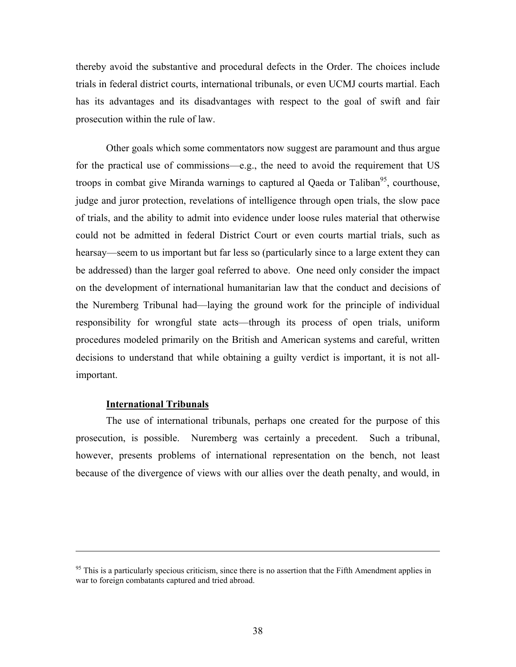thereby avoid the substantive and procedural defects in the Order. The choices include trials in federal district courts, international tribunals, or even UCMJ courts martial. Each has its advantages and its disadvantages with respect to the goal of swift and fair prosecution within the rule of law.

Other goals which some commentators now suggest are paramount and thus argue for the practical use of commissions—e.g., the need to avoid the requirement that US troops in combat give Miranda warnings to captured al Qaeda or Taliban<sup>95</sup>, courthouse, judge and juror protection, revelations of intelligence through open trials, the slow pace of trials, and the ability to admit into evidence under loose rules material that otherwise could not be admitted in federal District Court or even courts martial trials, such as hearsay—seem to us important but far less so (particularly since to a large extent they can be addressed) than the larger goal referred to above. One need only consider the impact on the development of international humanitarian law that the conduct and decisions of the Nuremberg Tribunal had—laying the ground work for the principle of individual responsibility for wrongful state acts—through its process of open trials, uniform procedures modeled primarily on the British and American systems and careful, written decisions to understand that while obtaining a guilty verdict is important, it is not allimportant.

### **International Tribunals**

 $\overline{a}$ 

The use of international tribunals, perhaps one created for the purpose of this prosecution, is possible. Nuremberg was certainly a precedent. Such a tribunal, however, presents problems of international representation on the bench, not least because of the divergence of views with our allies over the death penalty, and would, in

<span id="page-37-0"></span> $95$  This is a particularly specious criticism, since there is no assertion that the Fifth Amendment applies in war to foreign combatants captured and tried abroad.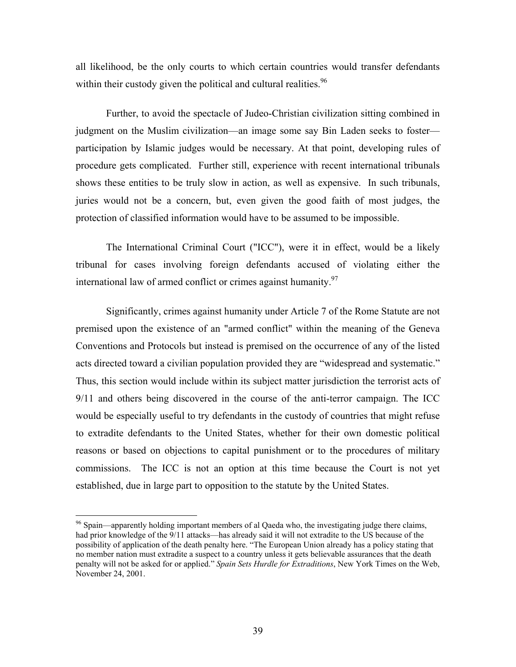all likelihood, be the only courts to which certain countries would transfer defendants within their custody given the political and cultural realities.  $96$ 

Further, to avoid the spectacle of Judeo-Christian civilization sitting combined in judgment on the Muslim civilization—an image some say Bin Laden seeks to foster participation by Islamic judges would be necessary. At that point, developing rules of procedure gets complicated. Further still, experience with recent international tribunals shows these entities to be truly slow in action, as well as expensive. In such tribunals, juries would not be a concern, but, even given the good faith of most judges, the protection of classified information would have to be assumed to be impossible.

The International Criminal Court ("ICC"), were it in effect, would be a likely tribunal for cases involving foreign defendants accused of violating either the international law of armed conflict or crimes against humanity.<sup>97</sup>

Significantly, crimes against humanity under Article 7 of the Rome Statute are not premised upon the existence of an "armed conflict" within the meaning of the Geneva Conventions and Protocols but instead is premised on the occurrence of any of the listed acts directed toward a civilian population provided they are "widespread and systematic." Thus, this section would include within its subject matter jurisdiction the terrorist acts of 9/11 and others being discovered in the course of the anti-terror campaign. The ICC would be especially useful to try defendants in the custody of countries that might refuse to extradite defendants to the United States, whether for their own domestic political reasons or based on objections to capital punishment or to the procedures of military commissions. The ICC is not an option at this time because the Court is not yet established, due in large part to opposition to the statute by the United States.

<span id="page-38-1"></span><span id="page-38-0"></span><sup>96</sup> Spain—apparently holding important members of al Qaeda who, the investigating judge there claims, had prior knowledge of the 9/11 attacks—has already said it will not extradite to the US because of the possibility of application of the death penalty here. "The European Union already has a policy stating that no member nation must extradite a suspect to a country unless it gets believable assurances that the death penalty will not be asked for or applied." *Spain Sets Hurdle for Extraditions*, New York Times on the Web, November 24, 2001.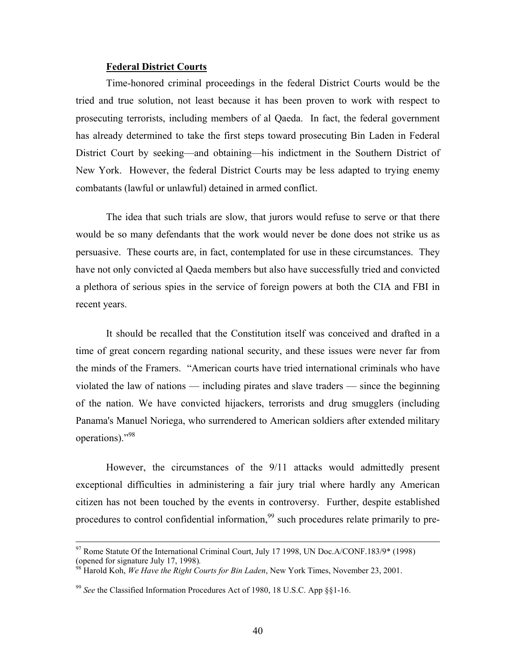### **Federal District Courts**

Time-honored criminal proceedings in the federal District Courts would be the tried and true solution, not least because it has been proven to work with respect to prosecuting terrorists, including members of al Qaeda. In fact, the federal government has already determined to take the first steps toward prosecuting Bin Laden in Federal District Court by seeking—and obtaining—his indictment in the Southern District of New York. However, the federal District Courts may be less adapted to trying enemy combatants (lawful or unlawful) detained in armed conflict.

The idea that such trials are slow, that jurors would refuse to serve or that there would be so many defendants that the work would never be done does not strike us as persuasive. These courts are, in fact, contemplated for use in these circumstances. They have not only convicted al Qaeda members but also have successfully tried and convicted a plethora of serious spies in the service of foreign powers at both the CIA and FBI in recent years.

It should be recalled that the Constitution itself was conceived and drafted in a time of great concern regarding national security, and these issues were never far from the minds of the Framers. "American courts have tried international criminals who have violated the law of nations — including pirates and slave traders — since the beginning of the nation. We have convicted hijackers, terrorists and drug smugglers (including Panama's Manuel Noriega, who surrendered to American soldiers after extended military operations)."[98](#page-39-0)

However, the circumstances of the 9/11 attacks would admittedly present exceptional difficulties in administering a fair jury trial where hardly any American citizen has not been touched by the events in controversy. Further, despite established procedures to control confidential information,<sup>99</sup> such procedures relate primarily to pre-

<sup>&</sup>lt;sup>97</sup> Rome Statute Of the International Criminal Court, July 17 1998, UN Doc.A/CONF.183/9\* (1998) (opened for signature July 17, 1998).

<span id="page-39-0"></span><sup>&</sup>lt;sup>98</sup> Harold Koh, *We Have the Right Courts for Bin Laden*, New York Times, November 23, 2001.

<span id="page-39-1"></span><sup>99</sup> *See* the Classified Information Procedures Act of 1980, 18 U.S.C. App §§1-16.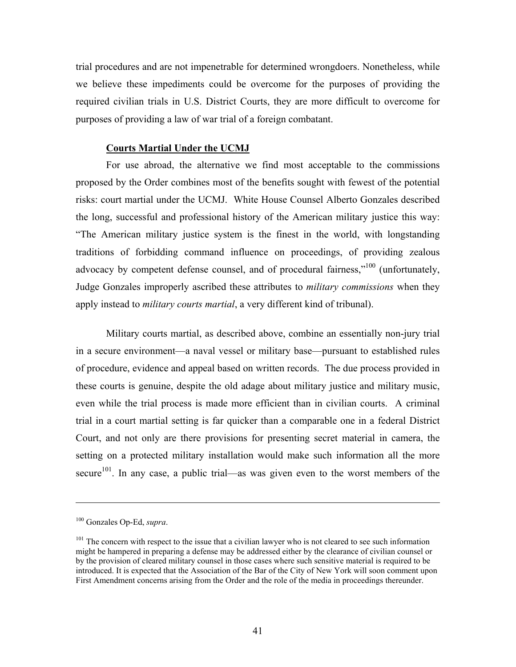trial procedures and are not impenetrable for determined wrongdoers. Nonetheless, while we believe these impediments could be overcome for the purposes of providing the required civilian trials in U.S. District Courts, they are more difficult to overcome for purposes of providing a law of war trial of a foreign combatant.

### **Courts Martial Under the UCMJ**

For use abroad, the alternative we find most acceptable to the commissions proposed by the Order combines most of the benefits sought with fewest of the potential risks: court martial under the UCMJ. White House Counsel Alberto Gonzales described the long, successful and professional history of the American military justice this way: "The American military justice system is the finest in the world, with longstanding traditions of forbidding command influence on proceedings, of providing zealous advocacy by competent defense counsel, and of procedural fairness,"<sup>100</sup> (unfortunately, Judge Gonzales improperly ascribed these attributes to *military commissions* when they apply instead to *military courts martial*, a very different kind of tribunal).

Military courts martial, as described above, combine an essentially non-jury trial in a secure environment—a naval vessel or military base—pursuant to established rules of procedure, evidence and appeal based on written records. The due process provided in these courts is genuine, despite the old adage about military justice and military music, even while the trial process is made more efficient than in civilian courts. A criminal trial in a court martial setting is far quicker than a comparable one in a federal District Court, and not only are there provisions for presenting secret material in camera, the setting on a protected military installation would make such information all the more secure<sup>101</sup>. In any case, a public trial—as was given even to the worst members of the

<span id="page-40-0"></span><sup>100</sup> Gonzales Op-Ed, *supra*.

<span id="page-40-1"></span><sup>&</sup>lt;sup>101</sup> The concern with respect to the issue that a civilian lawyer who is not cleared to see such information might be hampered in preparing a defense may be addressed either by the clearance of civilian counsel or by the provision of cleared military counsel in those cases where such sensitive material is required to be introduced. It is expected that the Association of the Bar of the City of New York will soon comment upon First Amendment concerns arising from the Order and the role of the media in proceedings thereunder.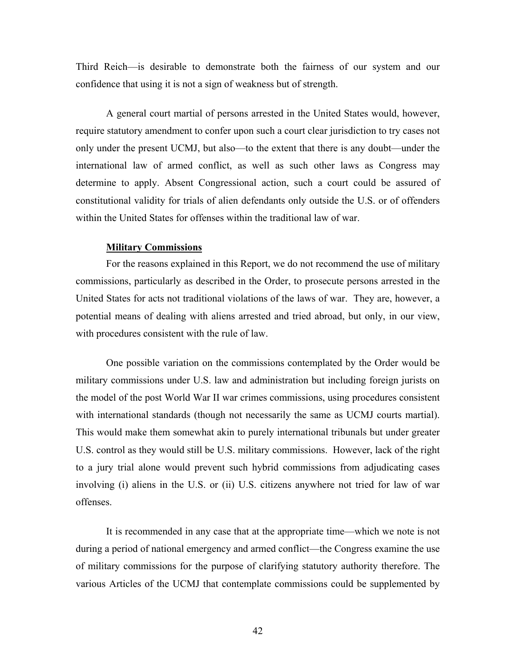Third Reich—is desirable to demonstrate both the fairness of our system and our confidence that using it is not a sign of weakness but of strength.

A general court martial of persons arrested in the United States would, however, require statutory amendment to confer upon such a court clear jurisdiction to try cases not only under the present UCMJ, but also—to the extent that there is any doubt—under the international law of armed conflict, as well as such other laws as Congress may determine to apply. Absent Congressional action, such a court could be assured of constitutional validity for trials of alien defendants only outside the U.S. or of offenders within the United States for offenses within the traditional law of war.

### **Military Commissions**

For the reasons explained in this Report, we do not recommend the use of military commissions, particularly as described in the Order, to prosecute persons arrested in the United States for acts not traditional violations of the laws of war. They are, however, a potential means of dealing with aliens arrested and tried abroad, but only, in our view, with procedures consistent with the rule of law.

One possible variation on the commissions contemplated by the Order would be military commissions under U.S. law and administration but including foreign jurists on the model of the post World War II war crimes commissions, using procedures consistent with international standards (though not necessarily the same as UCMJ courts martial). This would make them somewhat akin to purely international tribunals but under greater U.S. control as they would still be U.S. military commissions. However, lack of the right to a jury trial alone would prevent such hybrid commissions from adjudicating cases involving (i) aliens in the U.S. or (ii) U.S. citizens anywhere not tried for law of war offenses.

It is recommended in any case that at the appropriate time—which we note is not during a period of national emergency and armed conflict—the Congress examine the use of military commissions for the purpose of clarifying statutory authority therefore. The various Articles of the UCMJ that contemplate commissions could be supplemented by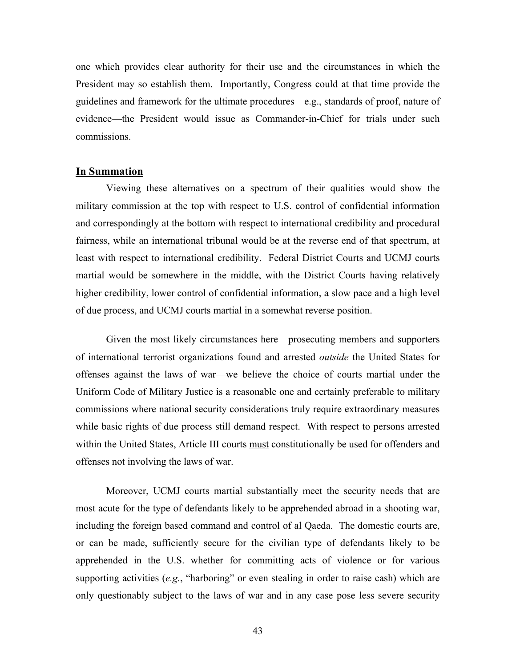one which provides clear authority for their use and the circumstances in which the President may so establish them. Importantly, Congress could at that time provide the guidelines and framework for the ultimate procedures—e.g., standards of proof, nature of evidence—the President would issue as Commander-in-Chief for trials under such commissions.

#### **In Summation**

Viewing these alternatives on a spectrum of their qualities would show the military commission at the top with respect to U.S. control of confidential information and correspondingly at the bottom with respect to international credibility and procedural fairness, while an international tribunal would be at the reverse end of that spectrum, at least with respect to international credibility. Federal District Courts and UCMJ courts martial would be somewhere in the middle, with the District Courts having relatively higher credibility, lower control of confidential information, a slow pace and a high level of due process, and UCMJ courts martial in a somewhat reverse position.

Given the most likely circumstances here—prosecuting members and supporters of international terrorist organizations found and arrested *outside* the United States for offenses against the laws of war—we believe the choice of courts martial under the Uniform Code of Military Justice is a reasonable one and certainly preferable to military commissions where national security considerations truly require extraordinary measures while basic rights of due process still demand respect. With respect to persons arrested within the United States, Article III courts must constitutionally be used for offenders and offenses not involving the laws of war.

Moreover, UCMJ courts martial substantially meet the security needs that are most acute for the type of defendants likely to be apprehended abroad in a shooting war, including the foreign based command and control of al Qaeda. The domestic courts are, or can be made, sufficiently secure for the civilian type of defendants likely to be apprehended in the U.S. whether for committing acts of violence or for various supporting activities (*e.g.*, "harboring" or even stealing in order to raise cash) which are only questionably subject to the laws of war and in any case pose less severe security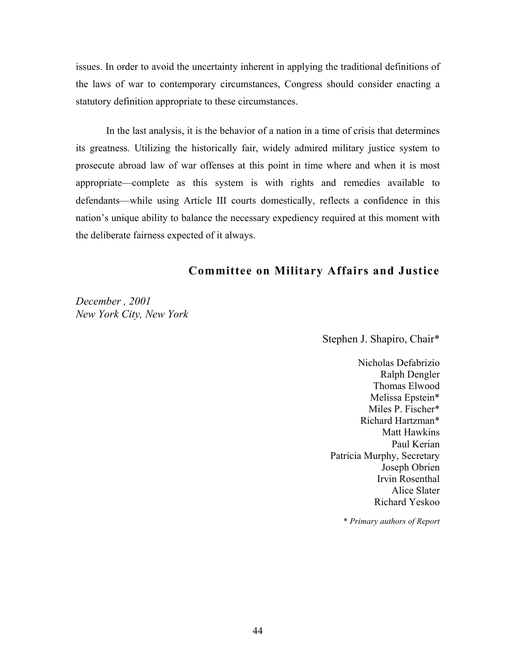issues. In order to avoid the uncertainty inherent in applying the traditional definitions of the laws of war to contemporary circumstances, Congress should consider enacting a statutory definition appropriate to these circumstances.

In the last analysis, it is the behavior of a nation in a time of crisis that determines its greatness. Utilizing the historically fair, widely admired military justice system to prosecute abroad law of war offenses at this point in time where and when it is most appropriate—complete as this system is with rights and remedies available to defendants—while using Article III courts domestically, reflects a confidence in this nation's unique ability to balance the necessary expediency required at this moment with the deliberate fairness expected of it always.

# **Committee on Military Affairs and Justice**

*December , 2001 New York City, New York*

Stephen J. Shapiro, Chair\*

Nicholas Defabrizio Ralph Dengler Thomas Elwood Melissa Epstein\* Miles P. Fischer\* Richard Hartzman\* Matt Hawkins Paul Kerian Patricia Murphy, Secretary Joseph Obrien Irvin Rosenthal Alice Slater Richard Yeskoo

\* *Primary authors of Report*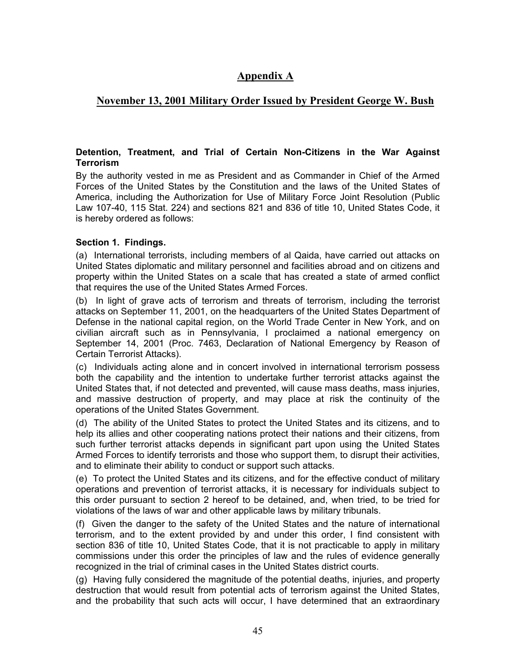# **Appendix A**

# **November 13, 2001 Military Order Issued by President George W. Bush**

## **Detention, Treatment, and Trial of Certain Non-Citizens in the War Against Terrorism**

By the authority vested in me as President and as Commander in Chief of the Armed Forces of the United States by the Constitution and the laws of the United States of America, including the Authorization for Use of Military Force Joint Resolution (Public Law 107-40, 115 Stat. 224) and sections 821 and 836 of title 10, United States Code, it is hereby ordered as follows:

## **Section 1. Findings.**

(a) International terrorists, including members of al Qaida, have carried out attacks on United States diplomatic and military personnel and facilities abroad and on citizens and property within the United States on a scale that has created a state of armed conflict that requires the use of the United States Armed Forces.

(b) In light of grave acts of terrorism and threats of terrorism, including the terrorist attacks on September 11, 2001, on the headquarters of the United States Department of Defense in the national capital region, on the World Trade Center in New York, and on civilian aircraft such as in Pennsylvania, I proclaimed a national emergency on September 14, 2001 (Proc. 7463, Declaration of National Emergency by Reason of Certain Terrorist Attacks).

(c) Individuals acting alone and in concert involved in international terrorism possess both the capability and the intention to undertake further terrorist attacks against the United States that, if not detected and prevented, will cause mass deaths, mass injuries, and massive destruction of property, and may place at risk the continuity of the operations of the United States Government.

(d) The ability of the United States to protect the United States and its citizens, and to help its allies and other cooperating nations protect their nations and their citizens, from such further terrorist attacks depends in significant part upon using the United States Armed Forces to identify terrorists and those who support them, to disrupt their activities, and to eliminate their ability to conduct or support such attacks.

(e) To protect the United States and its citizens, and for the effective conduct of military operations and prevention of terrorist attacks, it is necessary for individuals subject to this order pursuant to section 2 hereof to be detained, and, when tried, to be tried for violations of the laws of war and other applicable laws by military tribunals.

(f) Given the danger to the safety of the United States and the nature of international terrorism, and to the extent provided by and under this order, I find consistent with section 836 of title 10, United States Code, that it is not practicable to apply in military commissions under this order the principles of law and the rules of evidence generally recognized in the trial of criminal cases in the United States district courts.

(g) Having fully considered the magnitude of the potential deaths, injuries, and property destruction that would result from potential acts of terrorism against the United States, and the probability that such acts will occur, I have determined that an extraordinary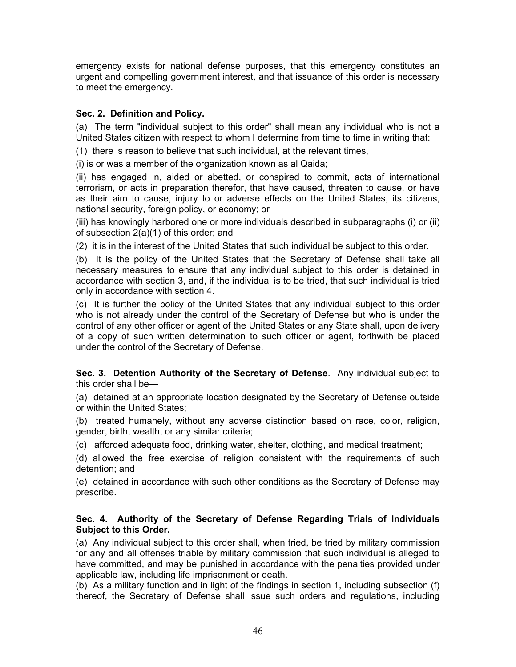emergency exists for national defense purposes, that this emergency constitutes an urgent and compelling government interest, and that issuance of this order is necessary to meet the emergency.

## **Sec. 2. Definition and Policy.**

(a) The term "individual subject to this order" shall mean any individual who is not a United States citizen with respect to whom I determine from time to time in writing that:

(1) there is reason to believe that such individual, at the relevant times,

(i) is or was a member of the organization known as al Qaida;

(ii) has engaged in, aided or abetted, or conspired to commit, acts of international terrorism, or acts in preparation therefor, that have caused, threaten to cause, or have as their aim to cause, injury to or adverse effects on the United States, its citizens, national security, foreign policy, or economy; or

(iii) has knowingly harbored one or more individuals described in subparagraphs (i) or (ii) of subsection 2(a)(1) of this order; and

(2) it is in the interest of the United States that such individual be subject to this order.

(b) It is the policy of the United States that the Secretary of Defense shall take all necessary measures to ensure that any individual subject to this order is detained in accordance with section 3, and, if the individual is to be tried, that such individual is tried only in accordance with section 4.

(c) It is further the policy of the United States that any individual subject to this order who is not already under the control of the Secretary of Defense but who is under the control of any other officer or agent of the United States or any State shall, upon delivery of a copy of such written determination to such officer or agent, forthwith be placed under the control of the Secretary of Defense.

**Sec. 3. Detention Authority of the Secretary of Defense**. Any individual subject to this order shall be—

(a) detained at an appropriate location designated by the Secretary of Defense outside or within the United States;

(b) treated humanely, without any adverse distinction based on race, color, religion, gender, birth, wealth, or any similar criteria;

(c) afforded adequate food, drinking water, shelter, clothing, and medical treatment;

(d) allowed the free exercise of religion consistent with the requirements of such detention; and

(e) detained in accordance with such other conditions as the Secretary of Defense may prescribe.

## **Sec. 4. Authority of the Secretary of Defense Regarding Trials of Individuals Subject to this Order.**

(a) Any individual subject to this order shall, when tried, be tried by military commission for any and all offenses triable by military commission that such individual is alleged to have committed, and may be punished in accordance with the penalties provided under applicable law, including life imprisonment or death.

(b) As a military function and in light of the findings in section 1, including subsection (f) thereof, the Secretary of Defense shall issue such orders and regulations, including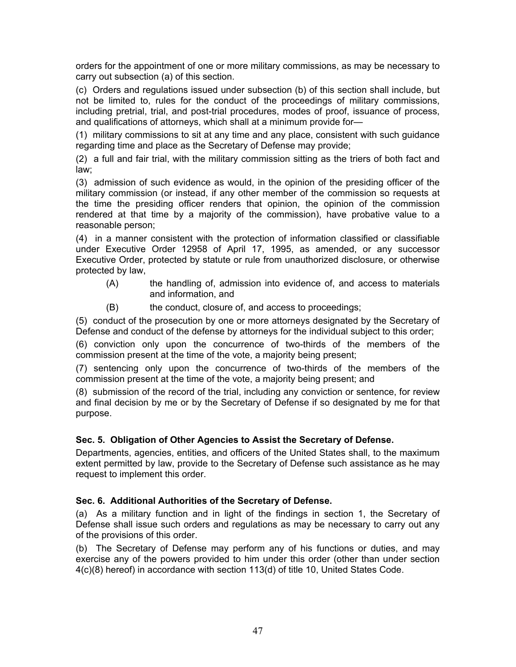orders for the appointment of one or more military commissions, as may be necessary to carry out subsection (a) of this section.

(c) Orders and regulations issued under subsection (b) of this section shall include, but not be limited to, rules for the conduct of the proceedings of military commissions, including pretrial, trial, and post-trial procedures, modes of proof, issuance of process, and qualifications of attorneys, which shall at a minimum provide for—

(1) military commissions to sit at any time and any place, consistent with such guidance regarding time and place as the Secretary of Defense may provide;

(2) a full and fair trial, with the military commission sitting as the triers of both fact and law;

(3) admission of such evidence as would, in the opinion of the presiding officer of the military commission (or instead, if any other member of the commission so requests at the time the presiding officer renders that opinion, the opinion of the commission rendered at that time by a majority of the commission), have probative value to a reasonable person;

(4) in a manner consistent with the protection of information classified or classifiable under Executive Order 12958 of April 17, 1995, as amended, or any successor Executive Order, protected by statute or rule from unauthorized disclosure, or otherwise protected by law,

- (A) the handling of, admission into evidence of, and access to materials and information, and
- (B) the conduct, closure of, and access to proceedings;

(5) conduct of the prosecution by one or more attorneys designated by the Secretary of Defense and conduct of the defense by attorneys for the individual subject to this order;

(6) conviction only upon the concurrence of two-thirds of the members of the commission present at the time of the vote, a majority being present;

(7) sentencing only upon the concurrence of two-thirds of the members of the commission present at the time of the vote, a majority being present; and

(8) submission of the record of the trial, including any conviction or sentence, for review and final decision by me or by the Secretary of Defense if so designated by me for that purpose.

# **Sec. 5. Obligation of Other Agencies to Assist the Secretary of Defense.**

Departments, agencies, entities, and officers of the United States shall, to the maximum extent permitted by law, provide to the Secretary of Defense such assistance as he may request to implement this order.

## **Sec. 6. Additional Authorities of the Secretary of Defense.**

(a) As a military function and in light of the findings in section 1, the Secretary of Defense shall issue such orders and regulations as may be necessary to carry out any of the provisions of this order.

(b) The Secretary of Defense may perform any of his functions or duties, and may exercise any of the powers provided to him under this order (other than under section 4(c)(8) hereof) in accordance with section 113(d) of title 10, United States Code.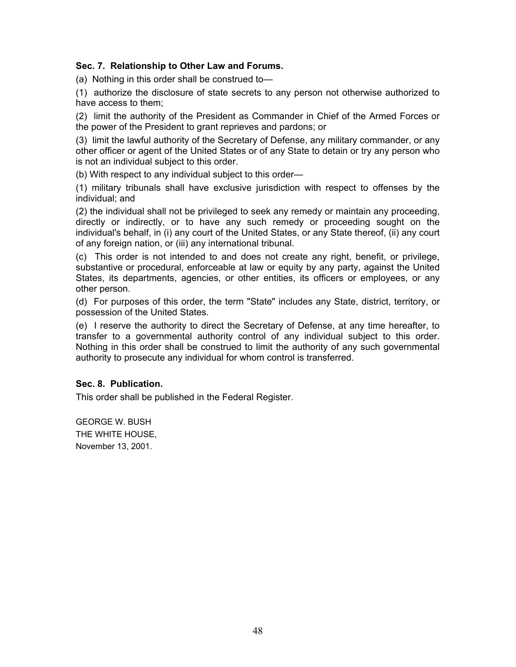### **Sec. 7. Relationship to Other Law and Forums.**

(a) Nothing in this order shall be construed to—

(1) authorize the disclosure of state secrets to any person not otherwise authorized to have access to them;

(2) limit the authority of the President as Commander in Chief of the Armed Forces or the power of the President to grant reprieves and pardons; or

(3) limit the lawful authority of the Secretary of Defense, any military commander, or any other officer or agent of the United States or of any State to detain or try any person who is not an individual subject to this order.

(b) With respect to any individual subject to this order—

(1) military tribunals shall have exclusive jurisdiction with respect to offenses by the individual; and

(2) the individual shall not be privileged to seek any remedy or maintain any proceeding, directly or indirectly, or to have any such remedy or proceeding sought on the individual's behalf, in (i) any court of the United States, or any State thereof, (ii) any court of any foreign nation, or (iii) any international tribunal.

(c) This order is not intended to and does not create any right, benefit, or privilege, substantive or procedural, enforceable at law or equity by any party, against the United States, its departments, agencies, or other entities, its officers or employees, or any other person.

(d) For purposes of this order, the term "State" includes any State, district, territory, or possession of the United States.

(e) I reserve the authority to direct the Secretary of Defense, at any time hereafter, to transfer to a governmental authority control of any individual subject to this order. Nothing in this order shall be construed to limit the authority of any such governmental authority to prosecute any individual for whom control is transferred.

## **Sec. 8. Publication.**

This order shall be published in the Federal Register.

GEORGE W. BUSH THE WHITE HOUSE, November 13, 2001.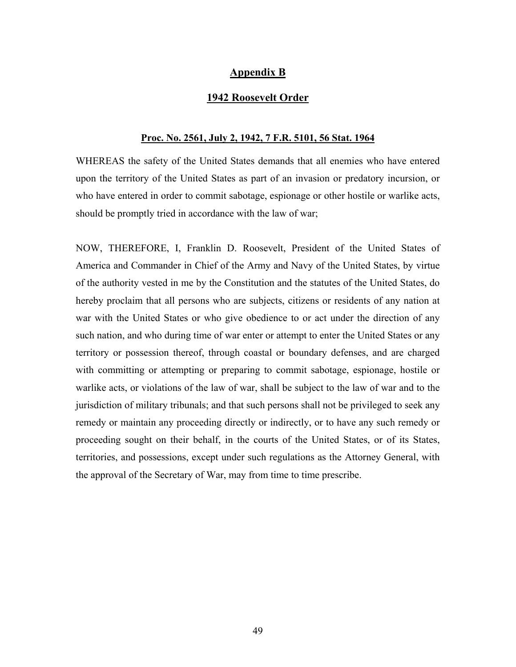## **Appendix B**

### **1942 Roosevelt Order**

#### **Proc. No. 2561, July 2, 1942, 7 F.R. 5101, 56 Stat. 1964**

WHEREAS the safety of the United States demands that all enemies who have entered upon the territory of the United States as part of an invasion or predatory incursion, or who have entered in order to commit sabotage, espionage or other hostile or warlike acts, should be promptly tried in accordance with the law of war;

NOW, THEREFORE, I, Franklin D. Roosevelt, President of the United States of America and Commander in Chief of the Army and Navy of the United States, by virtue of the authority vested in me by the Constitution and the statutes of the United States, do hereby proclaim that all persons who are subjects, citizens or residents of any nation at war with the United States or who give obedience to or act under the direction of any such nation, and who during time of war enter or attempt to enter the United States or any territory or possession thereof, through coastal or boundary defenses, and are charged with committing or attempting or preparing to commit sabotage, espionage, hostile or warlike acts, or violations of the law of war, shall be subject to the law of war and to the jurisdiction of military tribunals; and that such persons shall not be privileged to seek any remedy or maintain any proceeding directly or indirectly, or to have any such remedy or proceeding sought on their behalf, in the courts of the United States, or of its States, territories, and possessions, except under such regulations as the Attorney General, with the approval of the Secretary of War, may from time to time prescribe.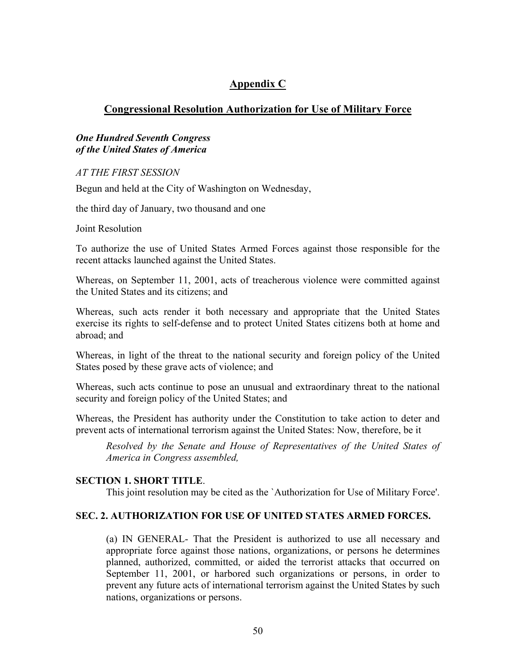# **Appendix C**

# **Congressional Resolution Authorization for Use of Military Force**

# *One Hundred Seventh Congress of the United States of America*

## *AT THE FIRST SESSION*

Begun and held at the City of Washington on Wednesday,

the third day of January, two thousand and one

Joint Resolution

To authorize the use of United States Armed Forces against those responsible for the recent attacks launched against the United States.

Whereas, on September 11, 2001, acts of treacherous violence were committed against the United States and its citizens; and

Whereas, such acts render it both necessary and appropriate that the United States exercise its rights to self-defense and to protect United States citizens both at home and abroad; and

Whereas, in light of the threat to the national security and foreign policy of the United States posed by these grave acts of violence; and

Whereas, such acts continue to pose an unusual and extraordinary threat to the national security and foreign policy of the United States; and

Whereas, the President has authority under the Constitution to take action to deter and prevent acts of international terrorism against the United States: Now, therefore, be it

*Resolved by the Senate and House of Representatives of the United States of America in Congress assembled,*

## **SECTION 1. SHORT TITLE**.

This joint resolution may be cited as the `Authorization for Use of Military Force'.

## **SEC. 2. AUTHORIZATION FOR USE OF UNITED STATES ARMED FORCES.**

(a) IN GENERAL- That the President is authorized to use all necessary and appropriate force against those nations, organizations, or persons he determines planned, authorized, committed, or aided the terrorist attacks that occurred on September 11, 2001, or harbored such organizations or persons, in order to prevent any future acts of international terrorism against the United States by such nations, organizations or persons.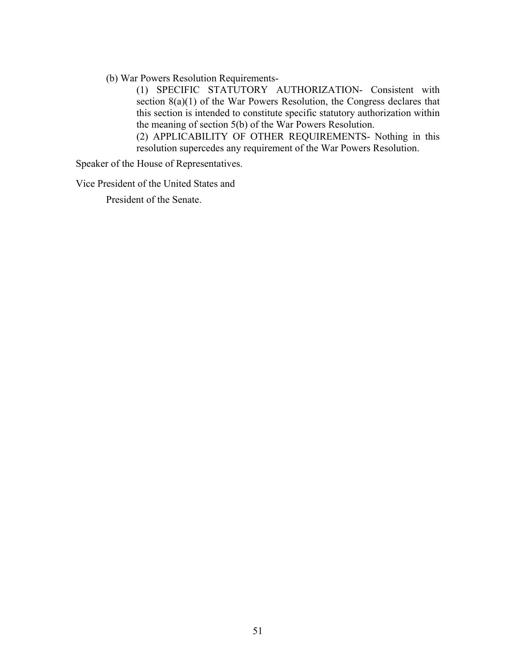(b) War Powers Resolution Requirements-

(1) SPECIFIC STATUTORY AUTHORIZATION- Consistent with section 8(a)(1) of the War Powers Resolution, the Congress declares that this section is intended to constitute specific statutory authorization within the meaning of section 5(b) of the War Powers Resolution.

(2) APPLICABILITY OF OTHER REQUIREMENTS- Nothing in this resolution supercedes any requirement of the War Powers Resolution.

Speaker of the House of Representatives.

Vice President of the United States and

President of the Senate.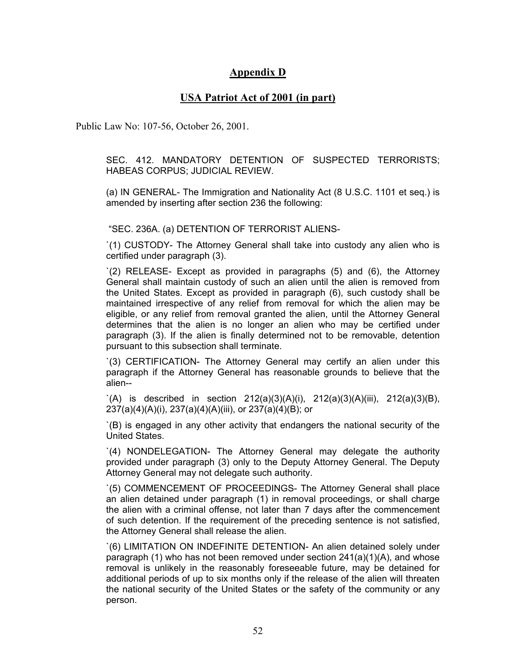# **Appendix D**

# **USA Patriot Act of 2001 (in part)**

Public Law No: 107-56, October 26, 2001.

SEC. 412. MANDATORY DETENTION OF SUSPECTED TERRORISTS; HABEAS CORPUS; JUDICIAL REVIEW.

(a) IN GENERAL- The Immigration and Nationality Act (8 U.S.C. 1101 et seq.) is amended by inserting after section 236 the following:

"SEC. 236A. (a) DETENTION OF TERRORIST ALIENS-

`(1) CUSTODY- The Attorney General shall take into custody any alien who is certified under paragraph (3).

`(2) RELEASE- Except as provided in paragraphs (5) and (6), the Attorney General shall maintain custody of such an alien until the alien is removed from the United States. Except as provided in paragraph (6), such custody shall be maintained irrespective of any relief from removal for which the alien may be eligible, or any relief from removal granted the alien, until the Attorney General determines that the alien is no longer an alien who may be certified under paragraph (3). If the alien is finally determined not to be removable, detention pursuant to this subsection shall terminate.

`(3) CERTIFICATION- The Attorney General may certify an alien under this paragraph if the Attorney General has reasonable grounds to believe that the alien--

`(A) is described in section 212(a)(3)(A)(i), 212(a)(3)(A)(iii), 212(a)(3)(B), 237(a)(4)(A)(i), 237(a)(4)(A)(iii), or 237(a)(4)(B); or

`(B) is engaged in any other activity that endangers the national security of the United States.

`(4) NONDELEGATION- The Attorney General may delegate the authority provided under paragraph (3) only to the Deputy Attorney General. The Deputy Attorney General may not delegate such authority.

`(5) COMMENCEMENT OF PROCEEDINGS- The Attorney General shall place an alien detained under paragraph (1) in removal proceedings, or shall charge the alien with a criminal offense, not later than 7 days after the commencement of such detention. If the requirement of the preceding sentence is not satisfied, the Attorney General shall release the alien.

`(6) LIMITATION ON INDEFINITE DETENTION- An alien detained solely under paragraph (1) who has not been removed under section  $241(a)(1)(A)$ , and whose removal is unlikely in the reasonably foreseeable future, may be detained for additional periods of up to six months only if the release of the alien will threaten the national security of the United States or the safety of the community or any person.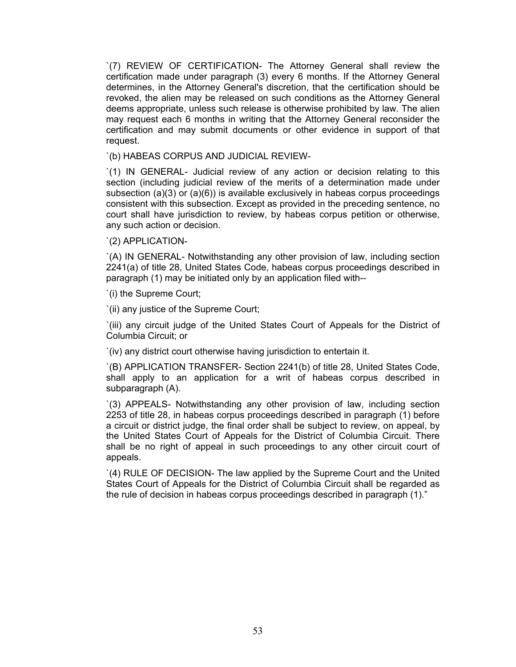`(7) REVIEW OF CERTIFICATION- The Attorney General shall review the certification made under paragraph (3) every 6 months. If the Attorney General determines, in the Attorney General's discretion, that the certification should be revoked, the alien may be released on such conditions as the Attorney General deems appropriate, unless such release is otherwise prohibited by law. The alien may request each 6 months in writing that the Attorney General reconsider the certification and may submit documents or other evidence in support of that request.

`(b) HABEAS CORPUS AND JUDICIAL REVIEW-

`(1) IN GENERAL- Judicial review of any action or decision relating to this section (including judicial review of the merits of a determination made under subsection  $(a)(3)$  or  $(a)(6)$  is available exclusively in habeas corpus proceedings consistent with this subsection. Except as provided in the preceding sentence, no court shall have jurisdiction to review, by habeas corpus petition or otherwise, any such action or decision.

`(2) APPLICATION-

`(A) IN GENERAL- Notwithstanding any other provision of law, including section 2241(a) of title 28, United States Code, habeas corpus proceedings described in paragraph (1) may be initiated only by an application filed with--

`(i) the Supreme Court;

`(ii) any justice of the Supreme Court;

`(iii) any circuit judge of the United States Court of Appeals for the District of Columbia Circuit; or

`(iv) any district court otherwise having jurisdiction to entertain it.

`(B) APPLICATION TRANSFER- Section 2241(b) of title 28, United States Code, shall apply to an application for a writ of habeas corpus described in subparagraph (A).

`(3) APPEALS- Notwithstanding any other provision of law, including section 2253 of title 28, in habeas corpus proceedings described in paragraph (1) before a circuit or district judge, the final order shall be subject to review, on appeal, by the United States Court of Appeals for the District of Columbia Circuit. There shall be no right of appeal in such proceedings to any other circuit court of appeals.

`(4) RULE OF DECISION- The law applied by the Supreme Court and the United States Court of Appeals for the District of Columbia Circuit shall be regarded as the rule of decision in habeas corpus proceedings described in paragraph (1)."